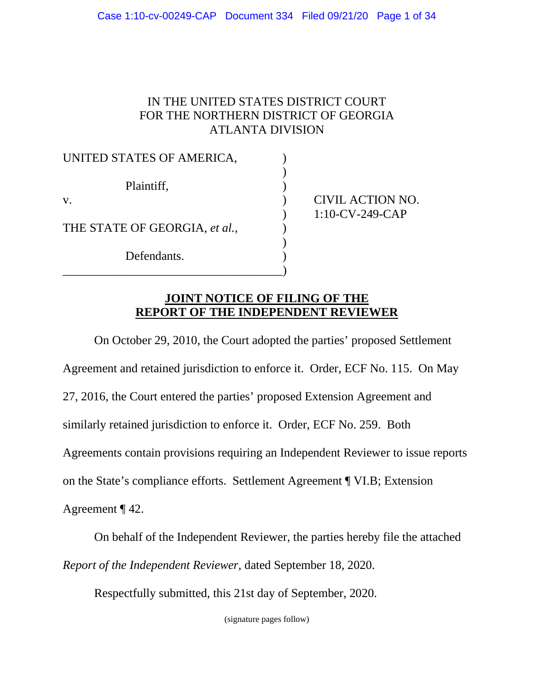# IN THE UNITED STATES DISTRICT COURT FOR THE NORTHERN DISTRICT OF GEORGIA ATLANTA DIVISION

| UNITED STATES OF AMERICA,     |  |
|-------------------------------|--|
| Plaintiff,                    |  |
| V.                            |  |
| THE STATE OF GEORGIA, et al., |  |
| Defendants.                   |  |

CIVIL ACTION NO. ) 1:10-CV-249-CAP

# **JOINT NOTICE OF FILING OF THE REPORT OF THE INDEPENDENT REVIEWER**

On October 29, 2010, the Court adopted the parties' proposed Settlement Agreement and retained jurisdiction to enforce it. Order, ECF No. 115. On May 27, 2016, the Court entered the parties' proposed Extension Agreement and similarly retained jurisdiction to enforce it. Order, ECF No. 259. Both Agreements contain provisions requiring an Independent Reviewer to issue reports on the State's compliance efforts. Settlement Agreement ¶ VI.B; Extension Agreement ¶ 42.

On behalf of the Independent Reviewer, the parties hereby file the attached *Report of the Independent Reviewer*, dated September 18, 2020.

Respectfully submitted, this 21st day of September, 2020.

(signature pages follow)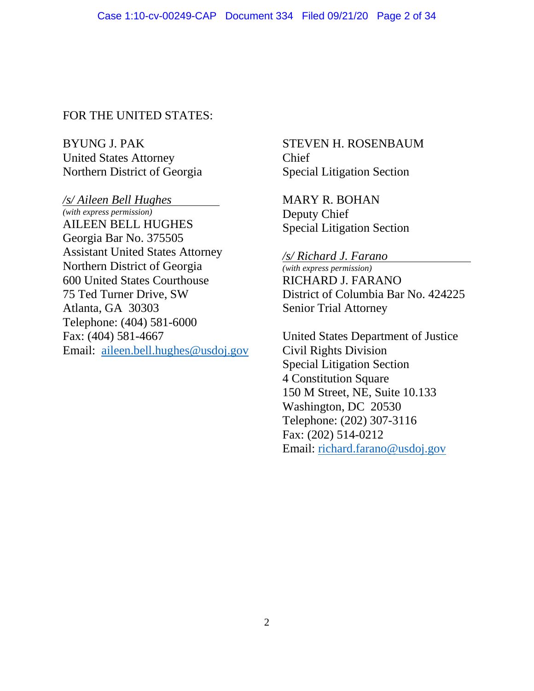## FOR THE UNITED STATES:

BYUNG J. PAK United States Attorney Northern District of Georgia

*/s/ Aileen Bell Hughes* 

*(with express permission)*  AILEEN BELL HUGHES Georgia Bar No. 375505 Assistant United States Attorney Northern District of Georgia 600 United States Courthouse 75 Ted Turner Drive, SW Atlanta, GA 30303 Telephone: (404) 581-6000 Fax: (404) 581-4667 Email: [aileen.bell.hughes@usdoj.gov](mailto:aileen.bell.hughes@usdoj.gov)

## STEVEN H. ROSENBAUM Chief Special Litigation Section

MARY R. BOHAN Deputy Chief Special Litigation Section

#### */s/ Richard J. Farano*

*(with express permission)*  RICHARD J. FARANO District of Columbia Bar No. 424225 Senior Trial Attorney

United States Department of Justice Civil Rights Division Special Litigation Section 4 Constitution Square 150 M Street, NE, Suite 10.133 Washington, DC 20530 Telephone: (202) 307-3116 Fax: (202) 514-0212 Email: [richard.farano@usdoj.gov](mailto:richard.farano@usdoj.gov)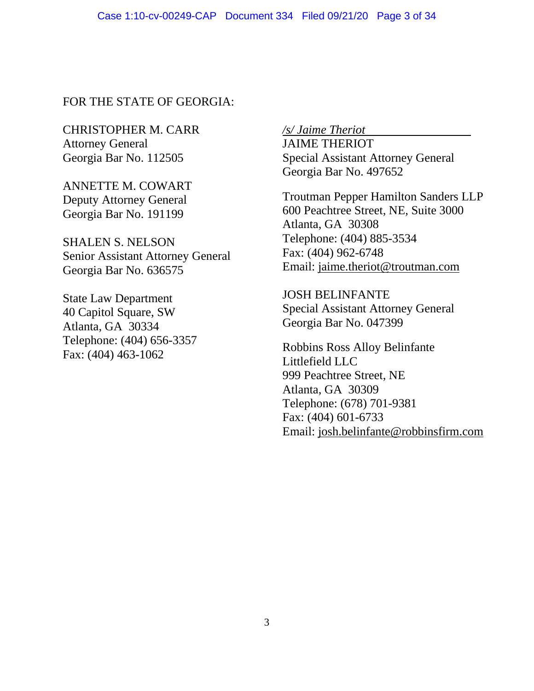## FOR THE STATE OF GEORGIA:

CHRISTOPHER M. CARR Attorney General Georgia Bar No. 112505

ANNETTE M. COWART Deputy Attorney General Georgia Bar No. 191199

SHALEN S. NELSON Senior Assistant Attorney General Georgia Bar No. 636575

State Law Department 40 Capitol Square, SW Atlanta, GA 30334 Telephone: (404) 656-3357 Fax: (404) 463-1062

*/s/ Jaime Theriot* 

JAIME THERIOT Special Assistant Attorney General Georgia Bar No. 497652

Troutman Pepper Hamilton Sanders LLP 600 Peachtree Street, NE, Suite 3000 Atlanta, GA 30308 Telephone: (404) 885-3534 Fax: (404) 962-6748 Email: [jaime.theriot@troutman.com](mailto:jaime.theriot@troutman.com)

JOSH BELINFANTE Special Assistant Attorney General Georgia Bar No. 047399

Robbins Ross Alloy Belinfante Littlefield LLC 999 Peachtree Street, NE Atlanta, GA 30309 Telephone: (678) 701-9381 Fax: (404) 601-6733 Email: [josh.belinfante@robbinsfirm.com](mailto:josh.belinfante@robbinsfirm.com)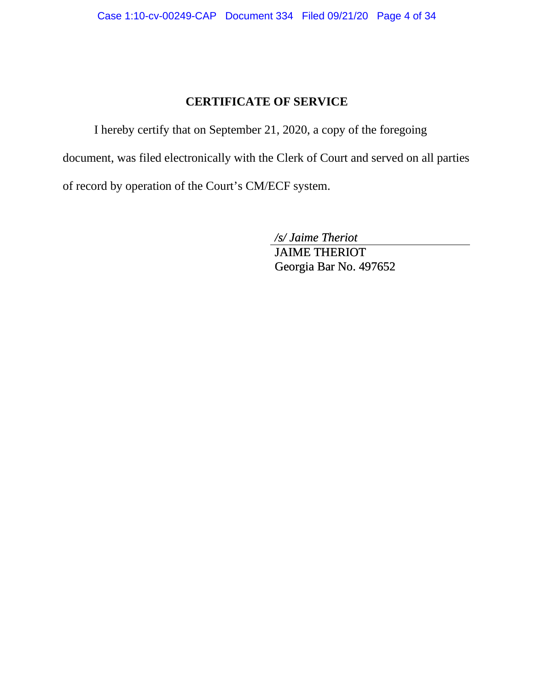## **CERTIFICATE OF SERVICE**

I hereby certify that on September 21, 2020, a copy of the foregoing document, was filed electronically with the Clerk of Court and served on all parties of record by operation of the Court's CM/ECF system.

*/s/ Jaime Theriot* 

JAIME THERIOT Georgia Bar No. 497652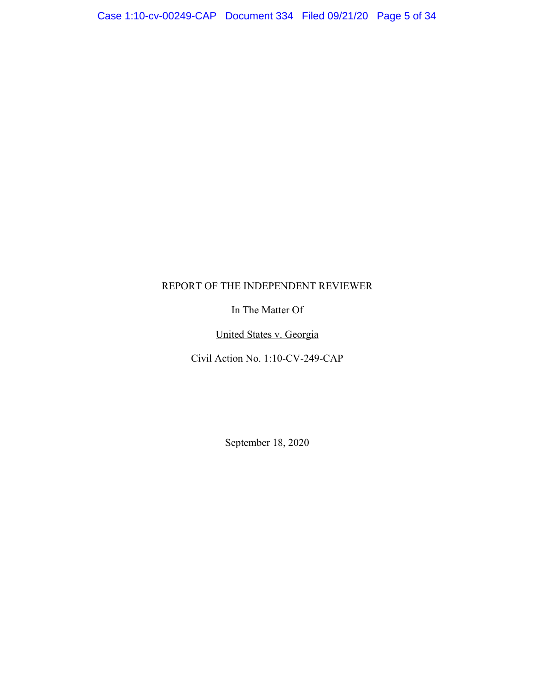#### REPORT OF THE INDEPENDENT REVIEWER

In The Matter Of

United States v. Georgia

Civil Action No. 1:10-CV-249-CAP

September 18, 2020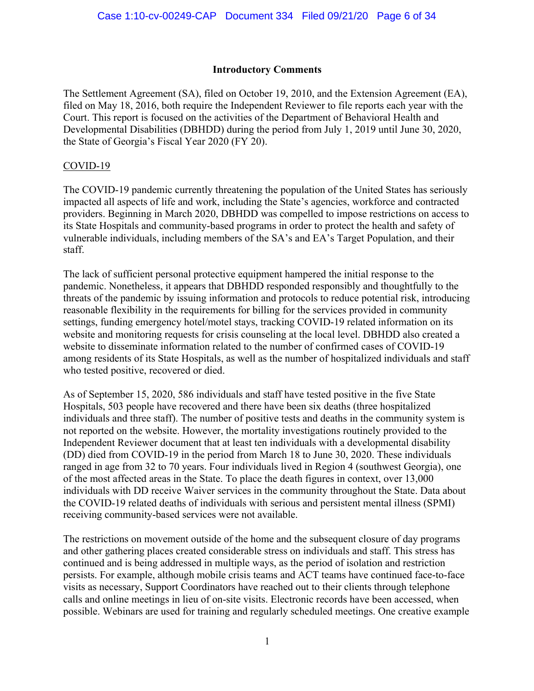#### **Introductory Comments**

The Settlement Agreement (SA), filed on October 19, 2010, and the Extension Agreement (EA), filed on May 18, 2016, both require the Independent Reviewer to file reports each year with the Court. This report is focused on the activities of the Department of Behavioral Health and Developmental Disabilities (DBHDD) during the period from July 1, 2019 until June 30, 2020, the State of Georgia's Fiscal Year 2020 (FY 20).

#### COVID-19

The COVID-19 pandemic currently threatening the population of the United States has seriously impacted all aspects of life and work, including the State's agencies, workforce and contracted providers. Beginning in March 2020, DBHDD was compelled to impose restrictions on access to its State Hospitals and community-based programs in order to protect the health and safety of vulnerable individuals, including members of the SA's and EA's Target Population, and their staff.

The lack of sufficient personal protective equipment hampered the initial response to the pandemic. Nonetheless, it appears that DBHDD responded responsibly and thoughtfully to the threats of the pandemic by issuing information and protocols to reduce potential risk, introducing reasonable flexibility in the requirements for billing for the services provided in community settings, funding emergency hotel/motel stays, tracking COVID-19 related information on its website and monitoring requests for crisis counseling at the local level. DBHDD also created a website to disseminate information related to the number of confirmed cases of COVID-19 among residents of its State Hospitals, as well as the number of hospitalized individuals and staff who tested positive, recovered or died.

As of September 15, 2020, 586 individuals and staff have tested positive in the five State Hospitals, 503 people have recovered and there have been six deaths (three hospitalized individuals and three staff). The number of positive tests and deaths in the community system is not reported on the website. However, the mortality investigations routinely provided to the Independent Reviewer document that at least ten individuals with a developmental disability (DD) died from COVID-19 in the period from March 18 to June 30, 2020. These individuals ranged in age from 32 to 70 years. Four individuals lived in Region 4 (southwest Georgia), one of the most affected areas in the State. To place the death figures in context, over 13,000 individuals with DD receive Waiver services in the community throughout the State. Data about the COVID-19 related deaths of individuals with serious and persistent mental illness (SPMI) receiving community-based services were not available.

The restrictions on movement outside of the home and the subsequent closure of day programs and other gathering places created considerable stress on individuals and staff. This stress has continued and is being addressed in multiple ways, as the period of isolation and restriction persists. For example, although mobile crisis teams and ACT teams have continued face-to-face visits as necessary, Support Coordinators have reached out to their clients through telephone calls and online meetings in lieu of on-site visits. Electronic records have been accessed, when possible. Webinars are used for training and regularly scheduled meetings. One creative example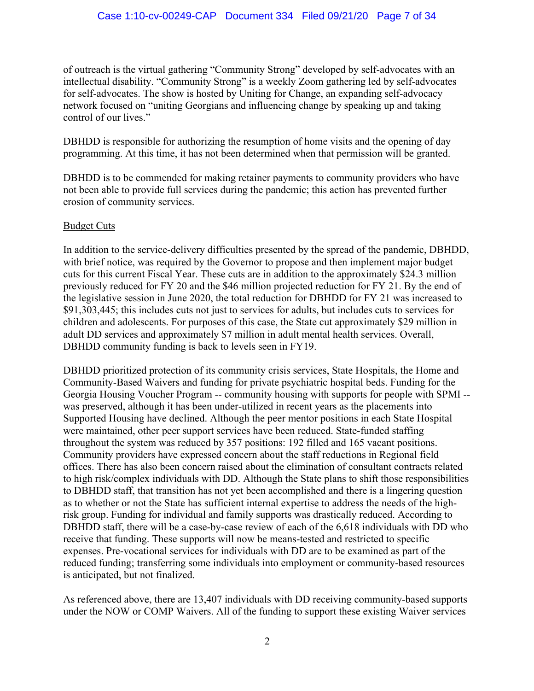of outreach is the virtual gathering "Community Strong" developed by self-advocates with an intellectual disability. "Community Strong" is a weekly Zoom gathering led by self-advocates for self-advocates. The show is hosted by Uniting for Change, an expanding self-advocacy network focused on "uniting Georgians and influencing change by speaking up and taking control of our lives."

DBHDD is responsible for authorizing the resumption of home visits and the opening of day programming. At this time, it has not been determined when that permission will be granted.

DBHDD is to be commended for making retainer payments to community providers who have not been able to provide full services during the pandemic; this action has prevented further erosion of community services.

### Budget Cuts

In addition to the service-delivery difficulties presented by the spread of the pandemic, DBHDD, with brief notice, was required by the Governor to propose and then implement major budget cuts for this current Fiscal Year. These cuts are in addition to the approximately \$24.3 million previously reduced for FY 20 and the \$46 million projected reduction for FY 21. By the end of the legislative session in June 2020, the total reduction for DBHDD for FY 21 was increased to \$91,303,445; this includes cuts not just to services for adults, but includes cuts to services for children and adolescents. For purposes of this case, the State cut approximately \$29 million in adult DD services and approximately \$7 million in adult mental health services. Overall, DBHDD community funding is back to levels seen in FY19.

DBHDD prioritized protection of its community crisis services, State Hospitals, the Home and Community-Based Waivers and funding for private psychiatric hospital beds. Funding for the Georgia Housing Voucher Program -- community housing with supports for people with SPMI - was preserved, although it has been under-utilized in recent years as the placements into Supported Housing have declined. Although the peer mentor positions in each State Hospital were maintained, other peer support services have been reduced. State-funded staffing throughout the system was reduced by 357 positions: 192 filled and 165 vacant positions. Community providers have expressed concern about the staff reductions in Regional field offices. There has also been concern raised about the elimination of consultant contracts related to high risk/complex individuals with DD. Although the State plans to shift those responsibilities to DBHDD staff, that transition has not yet been accomplished and there is a lingering question as to whether or not the State has sufficient internal expertise to address the needs of the highrisk group. Funding for individual and family supports was drastically reduced. According to DBHDD staff, there will be a case-by-case review of each of the 6,618 individuals with DD who receive that funding. These supports will now be means-tested and restricted to specific expenses. Pre-vocational services for individuals with DD are to be examined as part of the reduced funding; transferring some individuals into employment or community-based resources is anticipated, but not finalized.

As referenced above, there are 13,407 individuals with DD receiving community-based supports under the NOW or COMP Waivers. All of the funding to support these existing Waiver services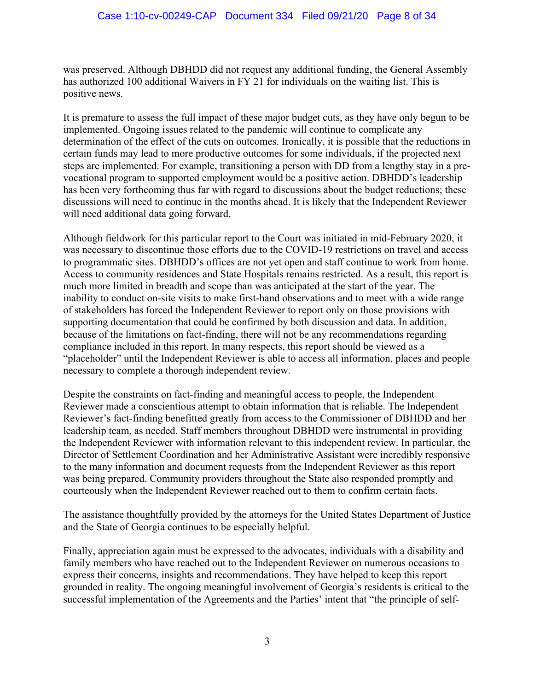was preserved. Although DBHDD did not request any additional funding, the General Assembly has authorized 100 additional Waivers in FY 21 for individuals on the waiting list. This is positive news.

It is premature to assess the full impact of these major budget cuts, as they have only begun to be implemented. Ongoing issues related to the pandemic will continue to complicate any determination of the effect of the cuts on outcomes. Ironically, it is possible that the reductions in certain funds may lead to more productive outcomes for some individuals, if the projected next steps are implemented. For example, transitioning a person with DD from a lengthy stay in a prevocational program to supported employment would be a positive action. DBHDD's leadership has been very forthcoming thus far with regard to discussions about the budget reductions; these discussions will need to continue in the months ahead. It is likely that the Independent Reviewer will need additional data going forward.

Although fieldwork for this particular report to the Court was initiated in mid-February 2020, it was necessary to discontinue those efforts due to the COVID-19 restrictions on travel and access to programmatic sites. DBHDD's offices are not yet open and staff continue to work from home. Access to community residences and State Hospitals remains restricted. As a result, this report is much more limited in breadth and scope than was anticipated at the start of the year. The inability to conduct on-site visits to make first-hand observations and to meet with a wide range of stakeholders has forced the Independent Reviewer to report only on those provisions with supporting documentation that could be confirmed by both discussion and data. In addition, because of the limitations on fact-finding, there will not be any recommendations regarding compliance included in this report. In many respects, this report should be viewed as a "placeholder" until the Independent Reviewer is able to access all information, places and people necessary to complete a thorough independent review.

Despite the constraints on fact-finding and meaningful access to people, the Independent Reviewer made a conscientious attempt to obtain information that is reliable. The Independent Reviewer's fact-finding benefitted greatly from access to the Commissioner of DBHDD and her leadership team, as needed. Staff members throughout DBHDD were instrumental in providing the Independent Reviewer with information relevant to this independent review. In particular, the Director of Settlement Coordination and her Administrative Assistant were incredibly responsive to the many information and document requests from the Independent Reviewer as this report was being prepared. Community providers throughout the State also responded promptly and courteously when the Independent Reviewer reached out to them to confirm certain facts.

The assistance thoughtfully provided by the attorneys for the United States Department of Justice and the State of Georgia continues to be especially helpful.

Finally, appreciation again must be expressed to the advocates, individuals with a disability and family members who have reached out to the Independent Reviewer on numerous occasions to express their concerns, insights and recommendations. They have helped to keep this report grounded in reality. The ongoing meaningful involvement of Georgia's residents is critical to the successful implementation of the Agreements and the Parties' intent that "the principle of self-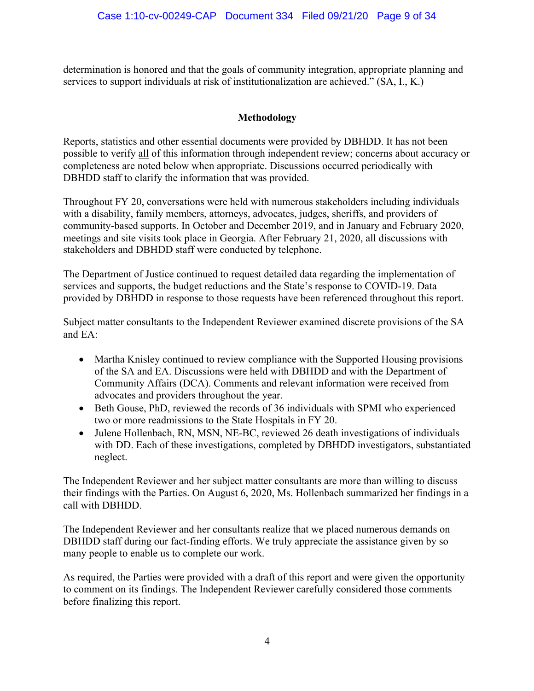determination is honored and that the goals of community integration, appropriate planning and services to support individuals at risk of institutionalization are achieved." (SA, I., K.)

## **Methodology**

Reports, statistics and other essential documents were provided by DBHDD. It has not been possible to verify all of this information through independent review; concerns about accuracy or completeness are noted below when appropriate. Discussions occurred periodically with DBHDD staff to clarify the information that was provided.

Throughout FY 20, conversations were held with numerous stakeholders including individuals with a disability, family members, attorneys, advocates, judges, sheriffs, and providers of community-based supports. In October and December 2019, and in January and February 2020, meetings and site visits took place in Georgia. After February 21, 2020, all discussions with stakeholders and DBHDD staff were conducted by telephone.

The Department of Justice continued to request detailed data regarding the implementation of services and supports, the budget reductions and the State's response to COVID-19. Data provided by DBHDD in response to those requests have been referenced throughout this report.

Subject matter consultants to the Independent Reviewer examined discrete provisions of the SA and EA:

- Martha Knisley continued to review compliance with the Supported Housing provisions of the SA and EA. Discussions were held with DBHDD and with the Department of Community Affairs (DCA). Comments and relevant information were received from advocates and providers throughout the year.
- Beth Gouse, PhD, reviewed the records of 36 individuals with SPMI who experienced two or more readmissions to the State Hospitals in FY 20.
- Julene Hollenbach, RN, MSN, NE-BC, reviewed 26 death investigations of individuals with DD. Each of these investigations, completed by DBHDD investigators, substantiated neglect.

The Independent Reviewer and her subject matter consultants are more than willing to discuss their findings with the Parties. On August 6, 2020, Ms. Hollenbach summarized her findings in a call with DBHDD.

The Independent Reviewer and her consultants realize that we placed numerous demands on DBHDD staff during our fact-finding efforts. We truly appreciate the assistance given by so many people to enable us to complete our work.

As required, the Parties were provided with a draft of this report and were given the opportunity to comment on its findings. The Independent Reviewer carefully considered those comments before finalizing this report.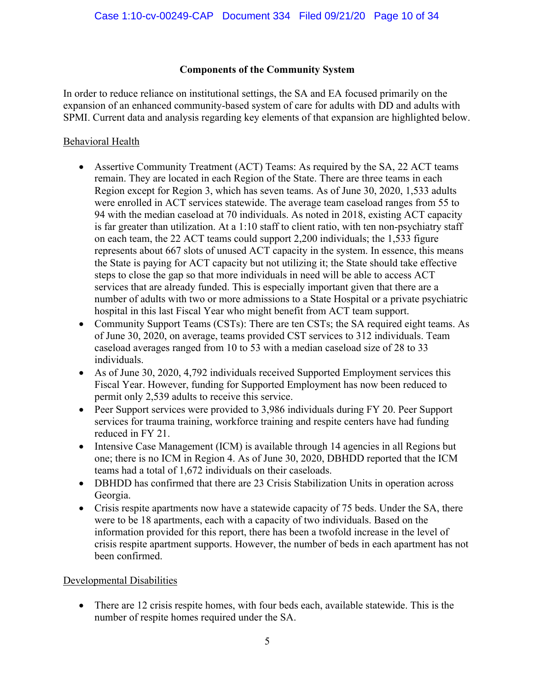## **Components of the Community System**

In order to reduce reliance on institutional settings, the SA and EA focused primarily on the expansion of an enhanced community-based system of care for adults with DD and adults with SPMI. Current data and analysis regarding key elements of that expansion are highlighted below.

## Behavioral Health

- Assertive Community Treatment (ACT) Teams: As required by the SA, 22 ACT teams remain. They are located in each Region of the State. There are three teams in each Region except for Region 3, which has seven teams. As of June 30, 2020, 1,533 adults were enrolled in ACT services statewide. The average team caseload ranges from 55 to 94 with the median caseload at 70 individuals. As noted in 2018, existing ACT capacity is far greater than utilization. At a 1:10 staff to client ratio, with ten non-psychiatry staff on each team, the 22 ACT teams could support 2,200 individuals; the 1,533 figure represents about 667 slots of unused ACT capacity in the system. In essence, this means the State is paying for ACT capacity but not utilizing it; the State should take effective steps to close the gap so that more individuals in need will be able to access ACT services that are already funded. This is especially important given that there are a number of adults with two or more admissions to a State Hospital or a private psychiatric hospital in this last Fiscal Year who might benefit from ACT team support.
- Community Support Teams (CSTs): There are ten CSTs; the SA required eight teams. As of June 30, 2020, on average, teams provided CST services to 312 individuals. Team caseload averages ranged from 10 to 53 with a median caseload size of 28 to 33 individuals.
- As of June 30, 2020, 4,792 individuals received Supported Employment services this Fiscal Year. However, funding for Supported Employment has now been reduced to permit only 2,539 adults to receive this service.
- Peer Support services were provided to 3,986 individuals during FY 20. Peer Support services for trauma training, workforce training and respite centers have had funding reduced in FY 21.
- Intensive Case Management (ICM) is available through 14 agencies in all Regions but one; there is no ICM in Region 4. As of June 30, 2020, DBHDD reported that the ICM teams had a total of 1,672 individuals on their caseloads.
- DBHDD has confirmed that there are 23 Crisis Stabilization Units in operation across Georgia.
- Crisis respite apartments now have a statewide capacity of 75 beds. Under the SA, there were to be 18 apartments, each with a capacity of two individuals. Based on the information provided for this report, there has been a twofold increase in the level of crisis respite apartment supports. However, the number of beds in each apartment has not been confirmed.

#### Developmental Disabilities

• There are 12 crisis respite homes, with four beds each, available statewide. This is the number of respite homes required under the SA.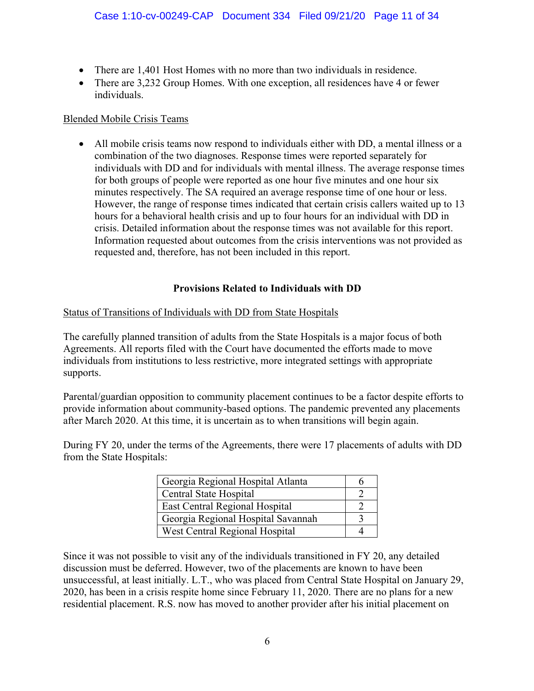- There are 1,401 Host Homes with no more than two individuals in residence.
- There are 3.232 Group Homes. With one exception, all residences have 4 or fewer individuals.

#### Blended Mobile Crisis Teams

• All mobile crisis teams now respond to individuals either with DD, a mental illness or a combination of the two diagnoses. Response times were reported separately for individuals with DD and for individuals with mental illness. The average response times for both groups of people were reported as one hour five minutes and one hour six minutes respectively. The SA required an average response time of one hour or less. However, the range of response times indicated that certain crisis callers waited up to 13 hours for a behavioral health crisis and up to four hours for an individual with DD in crisis. Detailed information about the response times was not available for this report. Information requested about outcomes from the crisis interventions was not provided as requested and, therefore, has not been included in this report.

#### **Provisions Related to Individuals with DD**

#### Status of Transitions of Individuals with DD from State Hospitals

The carefully planned transition of adults from the State Hospitals is a major focus of both Agreements. All reports filed with the Court have documented the efforts made to move individuals from institutions to less restrictive, more integrated settings with appropriate supports.

Parental/guardian opposition to community placement continues to be a factor despite efforts to provide information about community-based options. The pandemic prevented any placements after March 2020. At this time, it is uncertain as to when transitions will begin again.

During FY 20, under the terms of the Agreements, there were 17 placements of adults with DD from the State Hospitals:

| Georgia Regional Hospital Atlanta     |  |  |
|---------------------------------------|--|--|
| Central State Hospital                |  |  |
| <b>East Central Regional Hospital</b> |  |  |
| Georgia Regional Hospital Savannah    |  |  |
| West Central Regional Hospital        |  |  |

Since it was not possible to visit any of the individuals transitioned in FY 20, any detailed discussion must be deferred. However, two of the placements are known to have been unsuccessful, at least initially. L.T., who was placed from Central State Hospital on January 29, 2020, has been in a crisis respite home since February 11, 2020. There are no plans for a new residential placement. R.S. now has moved to another provider after his initial placement on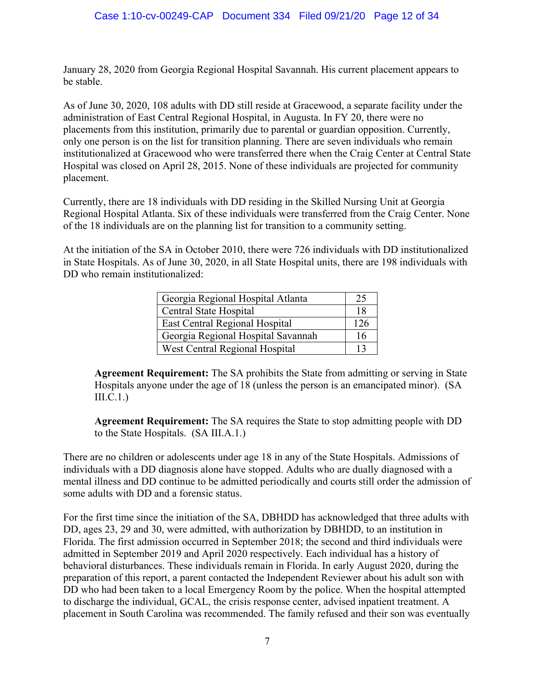January 28, 2020 from Georgia Regional Hospital Savannah. His current placement appears to be stable.

As of June 30, 2020, 108 adults with DD still reside at Gracewood, a separate facility under the administration of East Central Regional Hospital, in Augusta. In FY 20, there were no placements from this institution, primarily due to parental or guardian opposition. Currently, only one person is on the list for transition planning. There are seven individuals who remain institutionalized at Gracewood who were transferred there when the Craig Center at Central State Hospital was closed on April 28, 2015. None of these individuals are projected for community placement.

Currently, there are 18 individuals with DD residing in the Skilled Nursing Unit at Georgia Regional Hospital Atlanta. Six of these individuals were transferred from the Craig Center. None of the 18 individuals are on the planning list for transition to a community setting.

At the initiation of the SA in October 2010, there were 726 individuals with DD institutionalized in State Hospitals. As of June 30, 2020, in all State Hospital units, there are 198 individuals with DD who remain institutionalized:

| Georgia Regional Hospital Atlanta  |     |
|------------------------------------|-----|
| Central State Hospital             | 18  |
| East Central Regional Hospital     | 126 |
| Georgia Regional Hospital Savannah | 16  |
| West Central Regional Hospital     | 13  |

**Agreement Requirement:** The SA prohibits the State from admitting or serving in State Hospitals anyone under the age of 18 (unless the person is an emancipated minor). (SA III.C.1.)

**Agreement Requirement:** The SA requires the State to stop admitting people with DD to the State Hospitals. (SA III.A.1.)

There are no children or adolescents under age 18 in any of the State Hospitals. Admissions of individuals with a DD diagnosis alone have stopped. Adults who are dually diagnosed with a mental illness and DD continue to be admitted periodically and courts still order the admission of some adults with DD and a forensic status.

For the first time since the initiation of the SA, DBHDD has acknowledged that three adults with DD, ages 23, 29 and 30, were admitted, with authorization by DBHDD, to an institution in Florida. The first admission occurred in September 2018; the second and third individuals were admitted in September 2019 and April 2020 respectively. Each individual has a history of behavioral disturbances. These individuals remain in Florida. In early August 2020, during the preparation of this report, a parent contacted the Independent Reviewer about his adult son with DD who had been taken to a local Emergency Room by the police. When the hospital attempted to discharge the individual, GCAL, the crisis response center, advised inpatient treatment. A placement in South Carolina was recommended. The family refused and their son was eventually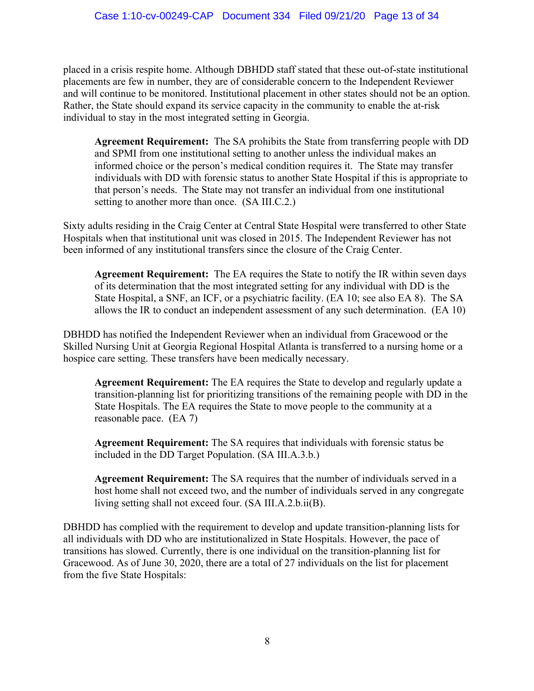placed in a crisis respite home. Although DBHDD staff stated that these out-of-state institutional placements are few in number, they are of considerable concern to the Independent Reviewer and will continue to be monitored. Institutional placement in other states should not be an option. Rather, the State should expand its service capacity in the community to enable the at-risk individual to stay in the most integrated setting in Georgia.

**Agreement Requirement:** The SA prohibits the State from transferring people with DD and SPMI from one institutional setting to another unless the individual makes an informed choice or the person's medical condition requires it. The State may transfer individuals with DD with forensic status to another State Hospital if this is appropriate to that person's needs. The State may not transfer an individual from one institutional setting to another more than once. (SA III.C.2.)

Sixty adults residing in the Craig Center at Central State Hospital were transferred to other State Hospitals when that institutional unit was closed in 2015. The Independent Reviewer has not been informed of any institutional transfers since the closure of the Craig Center.

**Agreement Requirement:** The EA requires the State to notify the IR within seven days of its determination that the most integrated setting for any individual with DD is the State Hospital, a SNF, an ICF, or a psychiatric facility. (EA 10; see also EA 8). The SA allows the IR to conduct an independent assessment of any such determination. (EA 10)

DBHDD has notified the Independent Reviewer when an individual from Gracewood or the Skilled Nursing Unit at Georgia Regional Hospital Atlanta is transferred to a nursing home or a hospice care setting. These transfers have been medically necessary.

**Agreement Requirement:** The EA requires the State to develop and regularly update a transition-planning list for prioritizing transitions of the remaining people with DD in the State Hospitals. The EA requires the State to move people to the community at a reasonable pace. (EA 7)

**Agreement Requirement:** The SA requires that individuals with forensic status be included in the DD Target Population. (SA III.A.3.b.)

**Agreement Requirement:** The SA requires that the number of individuals served in a host home shall not exceed two, and the number of individuals served in any congregate living setting shall not exceed four. (SA III.A.2.b.ii(B).

DBHDD has complied with the requirement to develop and update transition-planning lists for all individuals with DD who are institutionalized in State Hospitals. However, the pace of transitions has slowed. Currently, there is one individual on the transition-planning list for Gracewood. As of June 30, 2020, there are a total of 27 individuals on the list for placement from the five State Hospitals: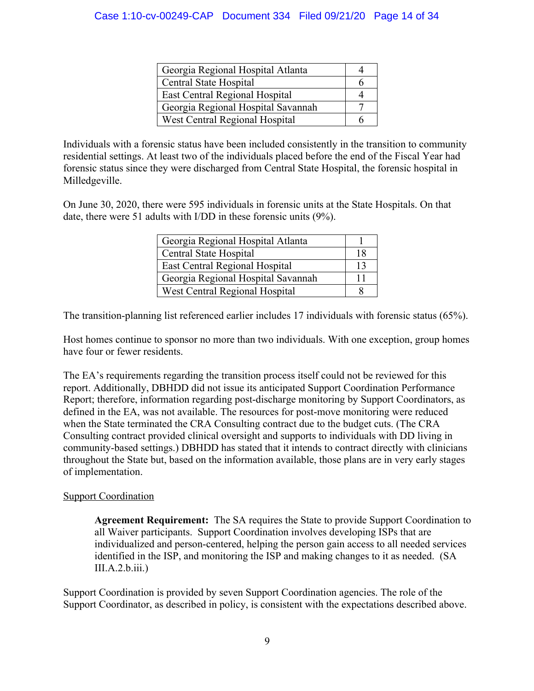| Georgia Regional Hospital Atlanta  |  |
|------------------------------------|--|
| Central State Hospital             |  |
| East Central Regional Hospital     |  |
| Georgia Regional Hospital Savannah |  |
| West Central Regional Hospital     |  |

Individuals with a forensic status have been included consistently in the transition to community residential settings. At least two of the individuals placed before the end of the Fiscal Year had forensic status since they were discharged from Central State Hospital, the forensic hospital in Milledgeville.

On June 30, 2020, there were 595 individuals in forensic units at the State Hospitals. On that date, there were 51 adults with I/DD in these forensic units (9%).

| Georgia Regional Hospital Atlanta     |    |
|---------------------------------------|----|
| Central State Hospital                | 18 |
| East Central Regional Hospital        | 13 |
| Georgia Regional Hospital Savannah    |    |
| <b>West Central Regional Hospital</b> |    |

The transition-planning list referenced earlier includes 17 individuals with forensic status (65%).

Host homes continue to sponsor no more than two individuals. With one exception, group homes have four or fewer residents.

The EA's requirements regarding the transition process itself could not be reviewed for this report. Additionally, DBHDD did not issue its anticipated Support Coordination Performance Report; therefore, information regarding post-discharge monitoring by Support Coordinators, as defined in the EA, was not available. The resources for post-move monitoring were reduced when the State terminated the CRA Consulting contract due to the budget cuts. (The CRA Consulting contract provided clinical oversight and supports to individuals with DD living in community-based settings.) DBHDD has stated that it intends to contract directly with clinicians throughout the State but, based on the information available, those plans are in very early stages of implementation.

## Support Coordination

**Agreement Requirement:** The SA requires the State to provide Support Coordination to all Waiver participants. Support Coordination involves developing ISPs that are individualized and person-centered, helping the person gain access to all needed services identified in the ISP, and monitoring the ISP and making changes to it as needed. (SA  $III.A.2.b.iii.)$ 

Support Coordination is provided by seven Support Coordination agencies. The role of the Support Coordinator, as described in policy, is consistent with the expectations described above.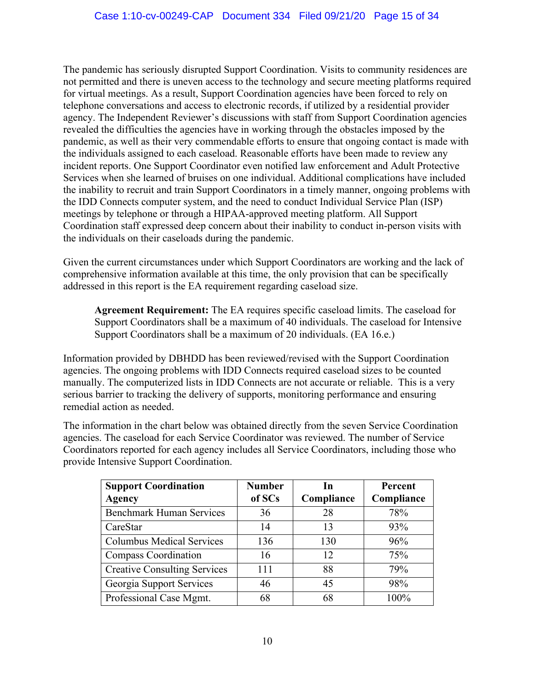The pandemic has seriously disrupted Support Coordination. Visits to community residences are not permitted and there is uneven access to the technology and secure meeting platforms required for virtual meetings. As a result, Support Coordination agencies have been forced to rely on telephone conversations and access to electronic records, if utilized by a residential provider agency. The Independent Reviewer's discussions with staff from Support Coordination agencies revealed the difficulties the agencies have in working through the obstacles imposed by the pandemic, as well as their very commendable efforts to ensure that ongoing contact is made with the individuals assigned to each caseload. Reasonable efforts have been made to review any incident reports. One Support Coordinator even notified law enforcement and Adult Protective Services when she learned of bruises on one individual. Additional complications have included the inability to recruit and train Support Coordinators in a timely manner, ongoing problems with the IDD Connects computer system, and the need to conduct Individual Service Plan (ISP) meetings by telephone or through a HIPAA-approved meeting platform. All Support Coordination staff expressed deep concern about their inability to conduct in-person visits with the individuals on their caseloads during the pandemic.

Given the current circumstances under which Support Coordinators are working and the lack of comprehensive information available at this time, the only provision that can be specifically addressed in this report is the EA requirement regarding caseload size.

**Agreement Requirement:** The EA requires specific caseload limits. The caseload for Support Coordinators shall be a maximum of 40 individuals. The caseload for Intensive Support Coordinators shall be a maximum of 20 individuals. (EA 16.e.)

Information provided by DBHDD has been reviewed/revised with the Support Coordination agencies. The ongoing problems with IDD Connects required caseload sizes to be counted manually. The computerized lists in IDD Connects are not accurate or reliable. This is a very serious barrier to tracking the delivery of supports, monitoring performance and ensuring remedial action as needed.

The information in the chart below was obtained directly from the seven Service Coordination agencies. The caseload for each Service Coordinator was reviewed. The number of Service Coordinators reported for each agency includes all Service Coordinators, including those who provide Intensive Support Coordination.

| <b>Support Coordination</b>         | <b>Number</b> | In         | Percent    |
|-------------------------------------|---------------|------------|------------|
| <b>Agency</b>                       | of SCs        | Compliance | Compliance |
| <b>Benchmark Human Services</b>     | 36            | 28         | 78%        |
| CareStar                            | 14            | 13         | 93%        |
| <b>Columbus Medical Services</b>    | 136           | 130        | 96%        |
| Compass Coordination                | 16            | 12         | 75%        |
| <b>Creative Consulting Services</b> | 111           | 88         | 79%        |
| Georgia Support Services            | 46            | 45         | 98%        |
| Professional Case Mgmt.             | 68            | 68         | 100%       |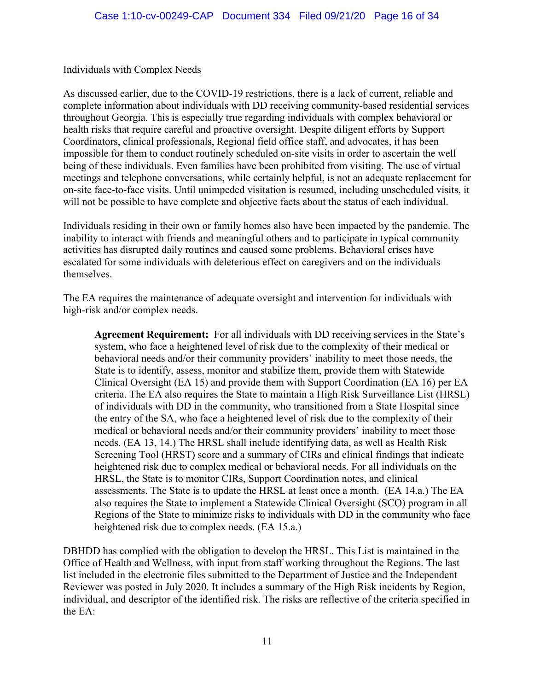#### Individuals with Complex Needs

As discussed earlier, due to the COVID-19 restrictions, there is a lack of current, reliable and complete information about individuals with DD receiving community-based residential services throughout Georgia. This is especially true regarding individuals with complex behavioral or health risks that require careful and proactive oversight. Despite diligent efforts by Support Coordinators, clinical professionals, Regional field office staff, and advocates, it has been impossible for them to conduct routinely scheduled on-site visits in order to ascertain the well being of these individuals. Even families have been prohibited from visiting. The use of virtual meetings and telephone conversations, while certainly helpful, is not an adequate replacement for on-site face-to-face visits. Until unimpeded visitation is resumed, including unscheduled visits, it will not be possible to have complete and objective facts about the status of each individual.

Individuals residing in their own or family homes also have been impacted by the pandemic. The inability to interact with friends and meaningful others and to participate in typical community activities has disrupted daily routines and caused some problems. Behavioral crises have escalated for some individuals with deleterious effect on caregivers and on the individuals themselves.

The EA requires the maintenance of adequate oversight and intervention for individuals with high-risk and/or complex needs.

**Agreement Requirement:** For all individuals with DD receiving services in the State's system, who face a heightened level of risk due to the complexity of their medical or behavioral needs and/or their community providers' inability to meet those needs, the State is to identify, assess, monitor and stabilize them, provide them with Statewide Clinical Oversight (EA 15) and provide them with Support Coordination (EA 16) per EA criteria. The EA also requires the State to maintain a High Risk Surveillance List (HRSL) of individuals with DD in the community, who transitioned from a State Hospital since the entry of the SA, who face a heightened level of risk due to the complexity of their medical or behavioral needs and/or their community providers' inability to meet those needs. (EA 13, 14.) The HRSL shall include identifying data, as well as Health Risk Screening Tool (HRST) score and a summary of CIRs and clinical findings that indicate heightened risk due to complex medical or behavioral needs. For all individuals on the HRSL, the State is to monitor CIRs, Support Coordination notes, and clinical assessments. The State is to update the HRSL at least once a month. (EA 14.a.) The EA also requires the State to implement a Statewide Clinical Oversight (SCO) program in all Regions of the State to minimize risks to individuals with DD in the community who face heightened risk due to complex needs. (EA 15.a.)

DBHDD has complied with the obligation to develop the HRSL. This List is maintained in the Office of Health and Wellness, with input from staff working throughout the Regions. The last list included in the electronic files submitted to the Department of Justice and the Independent Reviewer was posted in July 2020. It includes a summary of the High Risk incidents by Region, individual, and descriptor of the identified risk. The risks are reflective of the criteria specified in the EA: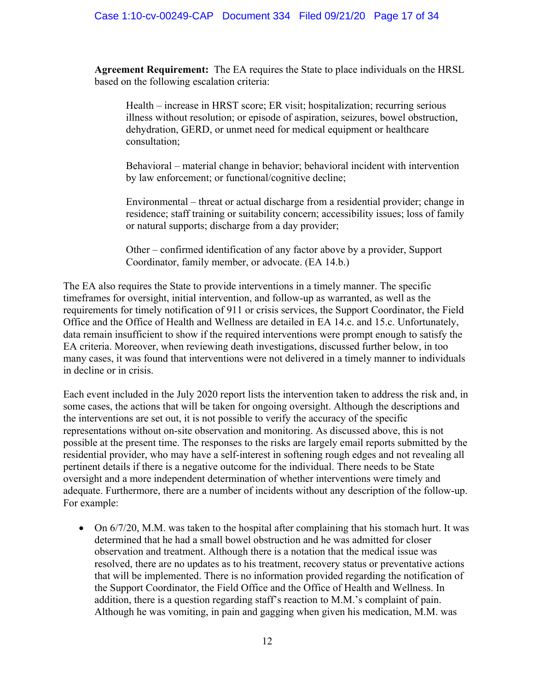**Agreement Requirement:** The EA requires the State to place individuals on the HRSL based on the following escalation criteria:

Health – increase in HRST score; ER visit; hospitalization; recurring serious illness without resolution; or episode of aspiration, seizures, bowel obstruction, dehydration, GERD, or unmet need for medical equipment or healthcare consultation;

Behavioral – material change in behavior; behavioral incident with intervention by law enforcement; or functional/cognitive decline;

Environmental – threat or actual discharge from a residential provider; change in residence; staff training or suitability concern; accessibility issues; loss of family or natural supports; discharge from a day provider;

Other – confirmed identification of any factor above by a provider, Support Coordinator, family member, or advocate. (EA 14.b.)

The EA also requires the State to provide interventions in a timely manner. The specific timeframes for oversight, initial intervention, and follow-up as warranted, as well as the requirements for timely notification of 911 or crisis services, the Support Coordinator, the Field Office and the Office of Health and Wellness are detailed in EA 14.c. and 15.c. Unfortunately, data remain insufficient to show if the required interventions were prompt enough to satisfy the EA criteria. Moreover, when reviewing death investigations, discussed further below, in too many cases, it was found that interventions were not delivered in a timely manner to individuals in decline or in crisis.

Each event included in the July 2020 report lists the intervention taken to address the risk and, in some cases, the actions that will be taken for ongoing oversight. Although the descriptions and the interventions are set out, it is not possible to verify the accuracy of the specific representations without on-site observation and monitoring. As discussed above, this is not possible at the present time. The responses to the risks are largely email reports submitted by the residential provider, who may have a self-interest in softening rough edges and not revealing all pertinent details if there is a negative outcome for the individual. There needs to be State oversight and a more independent determination of whether interventions were timely and adequate. Furthermore, there are a number of incidents without any description of the follow-up. For example:

• On  $6/7/20$ , M.M. was taken to the hospital after complaining that his stomach hurt. It was determined that he had a small bowel obstruction and he was admitted for closer observation and treatment. Although there is a notation that the medical issue was resolved, there are no updates as to his treatment, recovery status or preventative actions that will be implemented. There is no information provided regarding the notification of the Support Coordinator, the Field Office and the Office of Health and Wellness. In addition, there is a question regarding staff's reaction to M.M.'s complaint of pain. Although he was vomiting, in pain and gagging when given his medication, M.M. was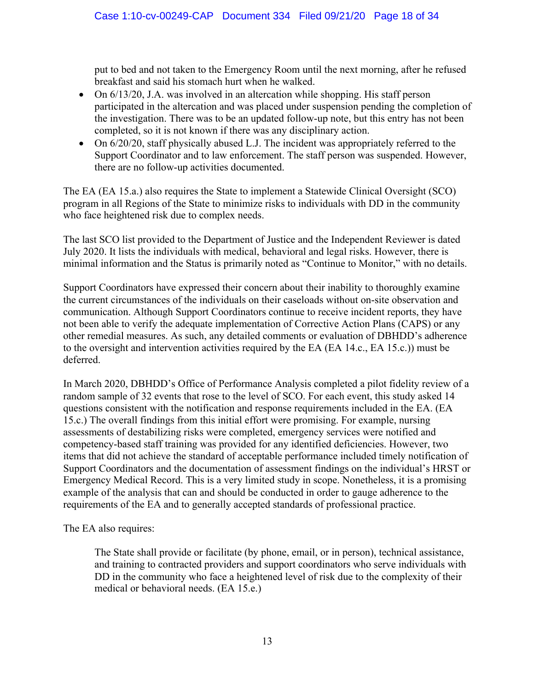put to bed and not taken to the Emergency Room until the next morning, after he refused breakfast and said his stomach hurt when he walked.

- On  $6/13/20$ , J.A. was involved in an altercation while shopping. His staff person participated in the altercation and was placed under suspension pending the completion of the investigation. There was to be an updated follow-up note, but this entry has not been completed, so it is not known if there was any disciplinary action.
- On 6/20/20, staff physically abused L.J. The incident was appropriately referred to the Support Coordinator and to law enforcement. The staff person was suspended. However, there are no follow-up activities documented.

The EA (EA 15.a.) also requires the State to implement a Statewide Clinical Oversight (SCO) program in all Regions of the State to minimize risks to individuals with DD in the community who face heightened risk due to complex needs.

The last SCO list provided to the Department of Justice and the Independent Reviewer is dated July 2020. It lists the individuals with medical, behavioral and legal risks. However, there is minimal information and the Status is primarily noted as "Continue to Monitor," with no details.

Support Coordinators have expressed their concern about their inability to thoroughly examine the current circumstances of the individuals on their caseloads without on-site observation and communication. Although Support Coordinators continue to receive incident reports, they have not been able to verify the adequate implementation of Corrective Action Plans (CAPS) or any other remedial measures. As such, any detailed comments or evaluation of DBHDD's adherence to the oversight and intervention activities required by the EA (EA 14.c., EA 15.c.)) must be deferred.

In March 2020, DBHDD's Office of Performance Analysis completed a pilot fidelity review of a random sample of 32 events that rose to the level of SCO. For each event, this study asked 14 questions consistent with the notification and response requirements included in the EA. (EA 15.c.) The overall findings from this initial effort were promising. For example, nursing assessments of destabilizing risks were completed, emergency services were notified and competency-based staff training was provided for any identified deficiencies. However, two items that did not achieve the standard of acceptable performance included timely notification of Support Coordinators and the documentation of assessment findings on the individual's HRST or Emergency Medical Record. This is a very limited study in scope. Nonetheless, it is a promising example of the analysis that can and should be conducted in order to gauge adherence to the requirements of the EA and to generally accepted standards of professional practice.

The EA also requires:

The State shall provide or facilitate (by phone, email, or in person), technical assistance, and training to contracted providers and support coordinators who serve individuals with DD in the community who face a heightened level of risk due to the complexity of their medical or behavioral needs. (EA 15.e.)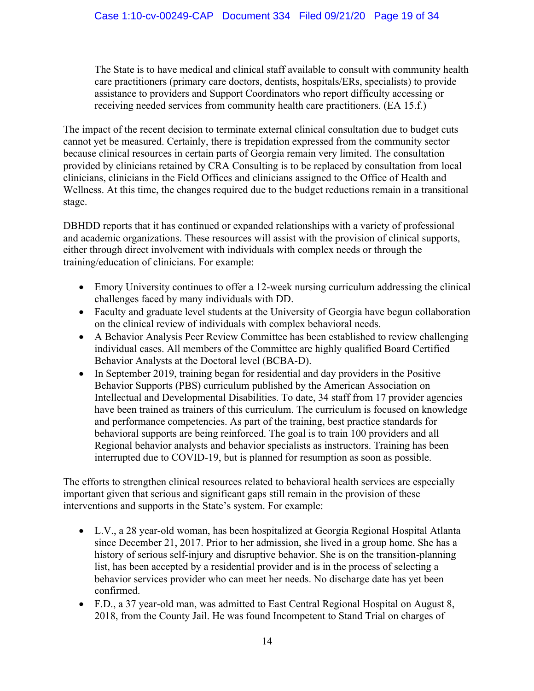The State is to have medical and clinical staff available to consult with community health care practitioners (primary care doctors, dentists, hospitals/ERs, specialists) to provide assistance to providers and Support Coordinators who report difficulty accessing or receiving needed services from community health care practitioners. (EA 15.f.)

The impact of the recent decision to terminate external clinical consultation due to budget cuts cannot yet be measured. Certainly, there is trepidation expressed from the community sector because clinical resources in certain parts of Georgia remain very limited. The consultation provided by clinicians retained by CRA Consulting is to be replaced by consultation from local clinicians, clinicians in the Field Offices and clinicians assigned to the Office of Health and Wellness. At this time, the changes required due to the budget reductions remain in a transitional stage.

DBHDD reports that it has continued or expanded relationships with a variety of professional and academic organizations. These resources will assist with the provision of clinical supports, either through direct involvement with individuals with complex needs or through the training/education of clinicians. For example:

- Emory University continues to offer a 12-week nursing curriculum addressing the clinical challenges faced by many individuals with DD.
- Faculty and graduate level students at the University of Georgia have begun collaboration on the clinical review of individuals with complex behavioral needs.
- A Behavior Analysis Peer Review Committee has been established to review challenging individual cases. All members of the Committee are highly qualified Board Certified Behavior Analysts at the Doctoral level (BCBA-D).
- In September 2019, training began for residential and day providers in the Positive Behavior Supports (PBS) curriculum published by the American Association on Intellectual and Developmental Disabilities. To date, 34 staff from 17 provider agencies have been trained as trainers of this curriculum. The curriculum is focused on knowledge and performance competencies. As part of the training, best practice standards for behavioral supports are being reinforced. The goal is to train 100 providers and all Regional behavior analysts and behavior specialists as instructors. Training has been interrupted due to COVID-19, but is planned for resumption as soon as possible.

The efforts to strengthen clinical resources related to behavioral health services are especially important given that serious and significant gaps still remain in the provision of these interventions and supports in the State's system. For example:

- L.V., a 28 year-old woman, has been hospitalized at Georgia Regional Hospital Atlanta since December 21, 2017. Prior to her admission, she lived in a group home. She has a history of serious self-injury and disruptive behavior. She is on the transition-planning list, has been accepted by a residential provider and is in the process of selecting a behavior services provider who can meet her needs. No discharge date has yet been confirmed.
- F.D., a 37 year-old man, was admitted to East Central Regional Hospital on August 8, 2018, from the County Jail. He was found Incompetent to Stand Trial on charges of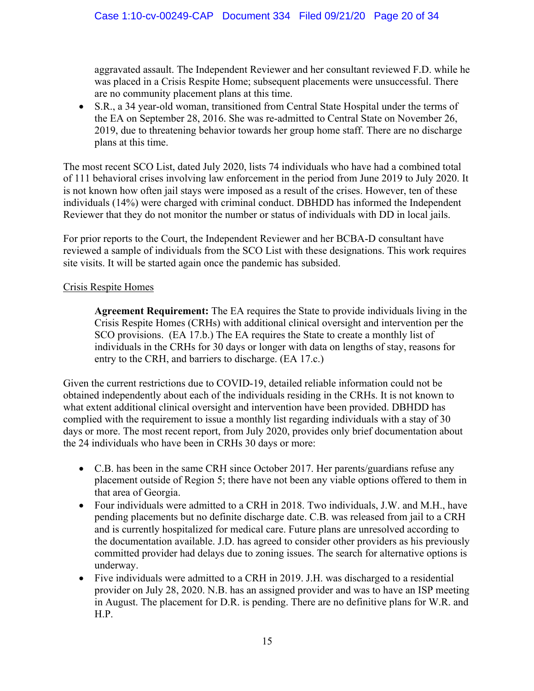aggravated assault. The Independent Reviewer and her consultant reviewed F.D. while he was placed in a Crisis Respite Home; subsequent placements were unsuccessful. There are no community placement plans at this time.

• S.R., a 34 year-old woman, transitioned from Central State Hospital under the terms of the EA on September 28, 2016. She was re-admitted to Central State on November 26, 2019, due to threatening behavior towards her group home staff. There are no discharge plans at this time.

The most recent SCO List, dated July 2020, lists 74 individuals who have had a combined total of 111 behavioral crises involving law enforcement in the period from June 2019 to July 2020. It is not known how often jail stays were imposed as a result of the crises. However, ten of these individuals (14%) were charged with criminal conduct. DBHDD has informed the Independent Reviewer that they do not monitor the number or status of individuals with DD in local jails.

For prior reports to the Court, the Independent Reviewer and her BCBA-D consultant have reviewed a sample of individuals from the SCO List with these designations. This work requires site visits. It will be started again once the pandemic has subsided.

## Crisis Respite Homes

**Agreement Requirement:** The EA requires the State to provide individuals living in the Crisis Respite Homes (CRHs) with additional clinical oversight and intervention per the SCO provisions. (EA 17.b.) The EA requires the State to create a monthly list of individuals in the CRHs for 30 days or longer with data on lengths of stay, reasons for entry to the CRH, and barriers to discharge. (EA 17.c.)

Given the current restrictions due to COVID-19, detailed reliable information could not be obtained independently about each of the individuals residing in the CRHs. It is not known to what extent additional clinical oversight and intervention have been provided. DBHDD has complied with the requirement to issue a monthly list regarding individuals with a stay of 30 days or more. The most recent report, from July 2020, provides only brief documentation about the 24 individuals who have been in CRHs 30 days or more:

- C.B. has been in the same CRH since October 2017. Her parents/guardians refuse any placement outside of Region 5; there have not been any viable options offered to them in that area of Georgia.
- Four individuals were admitted to a CRH in 2018. Two individuals, J.W. and M.H., have pending placements but no definite discharge date. C.B. was released from jail to a CRH and is currently hospitalized for medical care. Future plans are unresolved according to the documentation available. J.D. has agreed to consider other providers as his previously committed provider had delays due to zoning issues. The search for alternative options is underway.
- Five individuals were admitted to a CRH in 2019. J.H. was discharged to a residential provider on July 28, 2020. N.B. has an assigned provider and was to have an ISP meeting in August. The placement for D.R. is pending. There are no definitive plans for W.R. and H.P.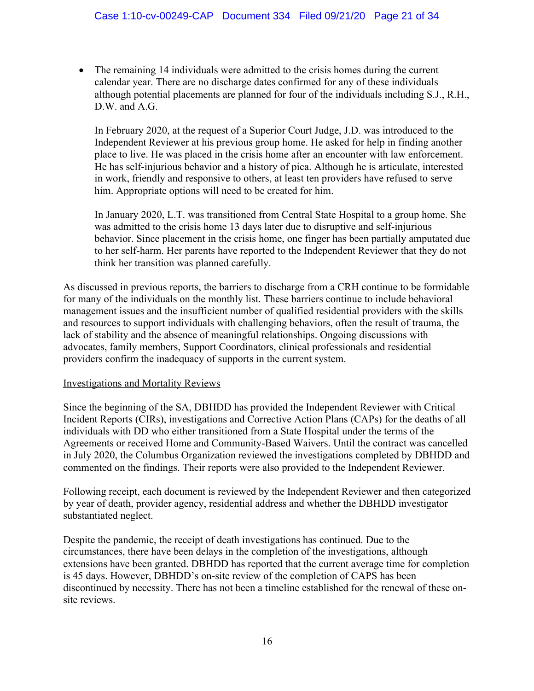• The remaining 14 individuals were admitted to the crisis homes during the current calendar year. There are no discharge dates confirmed for any of these individuals although potential placements are planned for four of the individuals including S.J., R.H., D.W. and A.G.

In February 2020, at the request of a Superior Court Judge, J.D. was introduced to the Independent Reviewer at his previous group home. He asked for help in finding another place to live. He was placed in the crisis home after an encounter with law enforcement. He has self-injurious behavior and a history of pica. Although he is articulate, interested in work, friendly and responsive to others, at least ten providers have refused to serve him. Appropriate options will need to be created for him.

In January 2020, L.T. was transitioned from Central State Hospital to a group home. She was admitted to the crisis home 13 days later due to disruptive and self-injurious behavior. Since placement in the crisis home, one finger has been partially amputated due to her self-harm. Her parents have reported to the Independent Reviewer that they do not think her transition was planned carefully.

As discussed in previous reports, the barriers to discharge from a CRH continue to be formidable for many of the individuals on the monthly list. These barriers continue to include behavioral management issues and the insufficient number of qualified residential providers with the skills and resources to support individuals with challenging behaviors, often the result of trauma, the lack of stability and the absence of meaningful relationships. Ongoing discussions with advocates, family members, Support Coordinators, clinical professionals and residential providers confirm the inadequacy of supports in the current system.

#### Investigations and Mortality Reviews

Since the beginning of the SA, DBHDD has provided the Independent Reviewer with Critical Incident Reports (CIRs), investigations and Corrective Action Plans (CAPs) for the deaths of all individuals with DD who either transitioned from a State Hospital under the terms of the Agreements or received Home and Community-Based Waivers. Until the contract was cancelled in July 2020, the Columbus Organization reviewed the investigations completed by DBHDD and commented on the findings. Their reports were also provided to the Independent Reviewer.

Following receipt, each document is reviewed by the Independent Reviewer and then categorized by year of death, provider agency, residential address and whether the DBHDD investigator substantiated neglect.

Despite the pandemic, the receipt of death investigations has continued. Due to the circumstances, there have been delays in the completion of the investigations, although extensions have been granted. DBHDD has reported that the current average time for completion is 45 days. However, DBHDD's on-site review of the completion of CAPS has been discontinued by necessity. There has not been a timeline established for the renewal of these onsite reviews.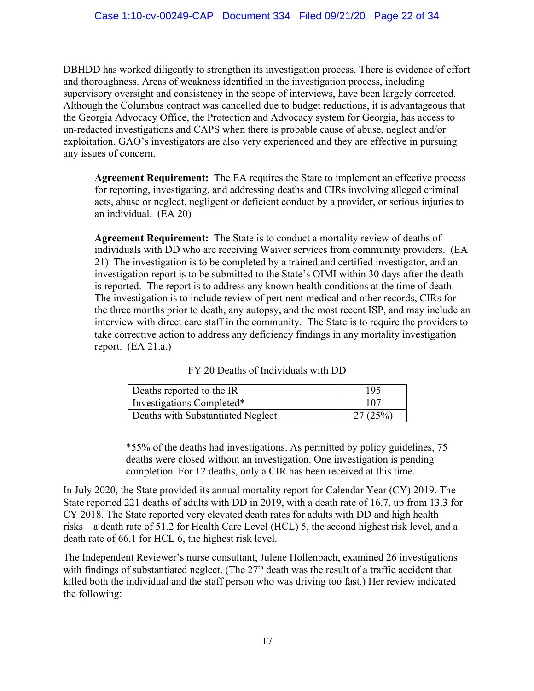DBHDD has worked diligently to strengthen its investigation process. There is evidence of effort and thoroughness. Areas of weakness identified in the investigation process, including supervisory oversight and consistency in the scope of interviews, have been largely corrected. Although the Columbus contract was cancelled due to budget reductions, it is advantageous that the Georgia Advocacy Office, the Protection and Advocacy system for Georgia, has access to un-redacted investigations and CAPS when there is probable cause of abuse, neglect and/or exploitation. GAO's investigators are also very experienced and they are effective in pursuing any issues of concern.

**Agreement Requirement:** The EA requires the State to implement an effective process for reporting, investigating, and addressing deaths and CIRs involving alleged criminal acts, abuse or neglect, negligent or deficient conduct by a provider, or serious injuries to an individual. (EA 20)

**Agreement Requirement:** The State is to conduct a mortality review of deaths of individuals with DD who are receiving Waiver services from community providers. (EA 21) The investigation is to be completed by a trained and certified investigator, and an investigation report is to be submitted to the State's OIMI within 30 days after the death is reported. The report is to address any known health conditions at the time of death. The investigation is to include review of pertinent medical and other records, CIRs for the three months prior to death, any autopsy, and the most recent ISP, and may include an interview with direct care staff in the community. The State is to require the providers to take corrective action to address any deficiency findings in any mortality investigation report.  $(EA 21.a.)$ 

| Deaths reported to the IR         | 195     |
|-----------------------------------|---------|
| Investigations Completed*         | 107     |
| Deaths with Substantiated Neglect | 27(25%) |

|  |  | FY 20 Deaths of Individuals with DD |  |
|--|--|-------------------------------------|--|
|--|--|-------------------------------------|--|

\*55% of the deaths had investigations. As permitted by policy guidelines, 75 deaths were closed without an investigation. One investigation is pending completion. For 12 deaths, only a CIR has been received at this time.

In July 2020, the State provided its annual mortality report for Calendar Year (CY) 2019. The State reported 221 deaths of adults with DD in 2019, with a death rate of 16.7, up from 13.3 for CY 2018. The State reported very elevated death rates for adults with DD and high health risks—a death rate of 51.2 for Health Care Level (HCL) 5, the second highest risk level, and a death rate of 66.1 for HCL 6, the highest risk level.

The Independent Reviewer's nurse consultant, Julene Hollenbach, examined 26 investigations with findings of substantiated neglect. (The 27<sup>th</sup> death was the result of a traffic accident that killed both the individual and the staff person who was driving too fast.) Her review indicated the following: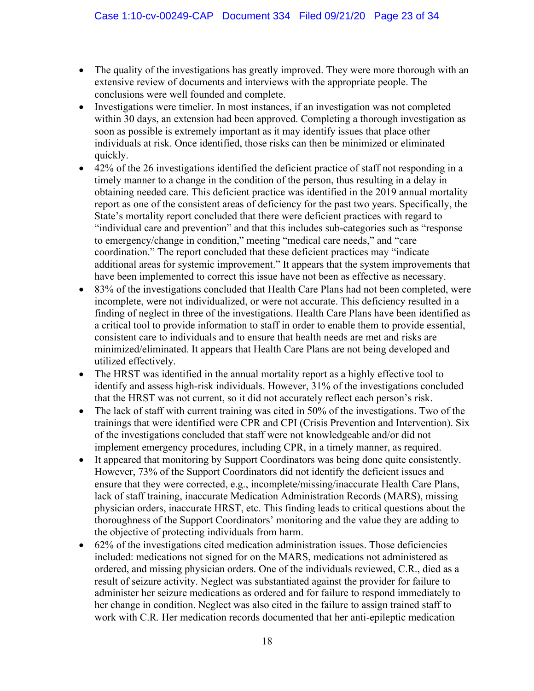- The quality of the investigations has greatly improved. They were more thorough with an extensive review of documents and interviews with the appropriate people. The conclusions were well founded and complete.
- Investigations were timelier. In most instances, if an investigation was not completed within 30 days, an extension had been approved. Completing a thorough investigation as soon as possible is extremely important as it may identify issues that place other individuals at risk. Once identified, those risks can then be minimized or eliminated quickly.
- 42% of the 26 investigations identified the deficient practice of staff not responding in a timely manner to a change in the condition of the person, thus resulting in a delay in obtaining needed care. This deficient practice was identified in the 2019 annual mortality report as one of the consistent areas of deficiency for the past two years. Specifically, the State's mortality report concluded that there were deficient practices with regard to "individual care and prevention" and that this includes sub-categories such as "response to emergency/change in condition," meeting "medical care needs," and "care coordination." The report concluded that these deficient practices may "indicate additional areas for systemic improvement." It appears that the system improvements that have been implemented to correct this issue have not been as effective as necessary.
- 83% of the investigations concluded that Health Care Plans had not been completed, were incomplete, were not individualized, or were not accurate. This deficiency resulted in a finding of neglect in three of the investigations. Health Care Plans have been identified as a critical tool to provide information to staff in order to enable them to provide essential, consistent care to individuals and to ensure that health needs are met and risks are minimized/eliminated. It appears that Health Care Plans are not being developed and utilized effectively.
- The HRST was identified in the annual mortality report as a highly effective tool to identify and assess high-risk individuals. However, 31% of the investigations concluded that the HRST was not current, so it did not accurately reflect each person's risk.
- The lack of staff with current training was cited in 50% of the investigations. Two of the trainings that were identified were CPR and CPI (Crisis Prevention and Intervention). Six of the investigations concluded that staff were not knowledgeable and/or did not implement emergency procedures, including CPR, in a timely manner, as required.
- It appeared that monitoring by Support Coordinators was being done quite consistently. However, 73% of the Support Coordinators did not identify the deficient issues and ensure that they were corrected, e.g., incomplete/missing/inaccurate Health Care Plans, lack of staff training, inaccurate Medication Administration Records (MARS), missing physician orders, inaccurate HRST, etc. This finding leads to critical questions about the thoroughness of the Support Coordinators' monitoring and the value they are adding to the objective of protecting individuals from harm.
- 62% of the investigations cited medication administration issues. Those deficiencies included: medications not signed for on the MARS, medications not administered as ordered, and missing physician orders. One of the individuals reviewed, C.R., died as a result of seizure activity. Neglect was substantiated against the provider for failure to administer her seizure medications as ordered and for failure to respond immediately to her change in condition. Neglect was also cited in the failure to assign trained staff to work with C.R. Her medication records documented that her anti-epileptic medication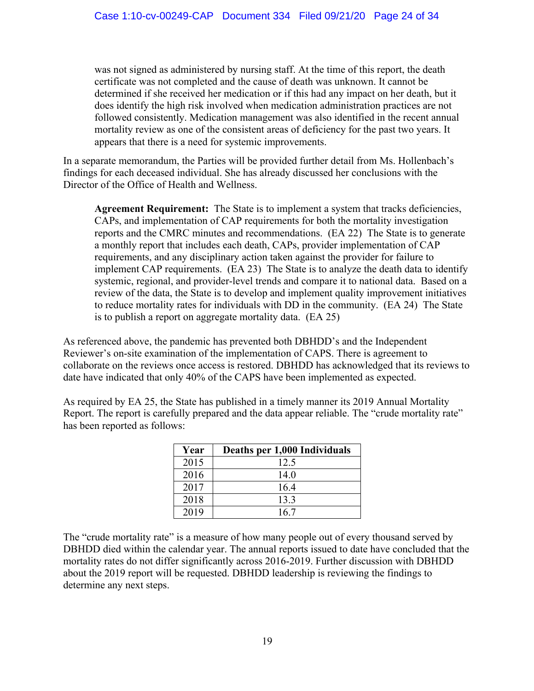was not signed as administered by nursing staff. At the time of this report, the death certificate was not completed and the cause of death was unknown. It cannot be determined if she received her medication or if this had any impact on her death, but it does identify the high risk involved when medication administration practices are not followed consistently. Medication management was also identified in the recent annual mortality review as one of the consistent areas of deficiency for the past two years. It appears that there is a need for systemic improvements.

In a separate memorandum, the Parties will be provided further detail from Ms. Hollenbach's findings for each deceased individual. She has already discussed her conclusions with the Director of the Office of Health and Wellness.

**Agreement Requirement:** The State is to implement a system that tracks deficiencies, CAPs, and implementation of CAP requirements for both the mortality investigation reports and the CMRC minutes and recommendations. (EA 22) The State is to generate a monthly report that includes each death, CAPs, provider implementation of CAP requirements, and any disciplinary action taken against the provider for failure to implement CAP requirements. (EA 23) The State is to analyze the death data to identify systemic, regional, and provider-level trends and compare it to national data. Based on a review of the data, the State is to develop and implement quality improvement initiatives to reduce mortality rates for individuals with DD in the community. (EA 24) The State is to publish a report on aggregate mortality data. (EA 25)

As referenced above, the pandemic has prevented both DBHDD's and the Independent Reviewer's on-site examination of the implementation of CAPS. There is agreement to collaborate on the reviews once access is restored. DBHDD has acknowledged that its reviews to date have indicated that only 40% of the CAPS have been implemented as expected.

As required by EA 25, the State has published in a timely manner its 2019 Annual Mortality Report. The report is carefully prepared and the data appear reliable. The "crude mortality rate" has been reported as follows:

| Year | Deaths per 1,000 Individuals |
|------|------------------------------|
| 2015 | 12.5                         |
| 2016 | 14.0                         |
| 2017 | 16.4                         |
| 2018 | 13.3                         |
| 2019 | 16.7                         |

The "crude mortality rate" is a measure of how many people out of every thousand served by DBHDD died within the calendar year. The annual reports issued to date have concluded that the mortality rates do not differ significantly across 2016-2019. Further discussion with DBHDD about the 2019 report will be requested. DBHDD leadership is reviewing the findings to determine any next steps.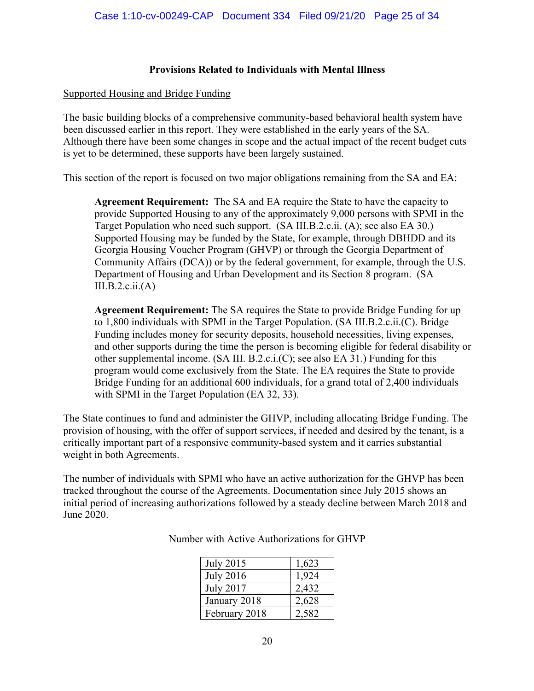#### **Provisions Related to Individuals with Mental Illness**

#### Supported Housing and Bridge Funding

The basic building blocks of a comprehensive community-based behavioral health system have been discussed earlier in this report. They were established in the early years of the SA. Although there have been some changes in scope and the actual impact of the recent budget cuts is yet to be determined, these supports have been largely sustained.

This section of the report is focused on two major obligations remaining from the SA and EA:

**Agreement Requirement:** The SA and EA require the State to have the capacity to provide Supported Housing to any of the approximately 9,000 persons with SPMI in the Target Population who need such support. (SA III.B.2.c.ii. (A); see also EA 30.) Supported Housing may be funded by the State, for example, through DBHDD and its Georgia Housing Voucher Program (GHVP) or through the Georgia Department of Community Affairs (DCA)) or by the federal government, for example, through the U.S. Department of Housing and Urban Development and its Section 8 program. (SA  $III.B.2.c.ii.(A)$ 

**Agreement Requirement:** The SA requires the State to provide Bridge Funding for up to 1,800 individuals with SPMI in the Target Population. (SA III.B.2.c.ii.(C). Bridge Funding includes money for security deposits, household necessities, living expenses, and other supports during the time the person is becoming eligible for federal disability or other supplemental income. (SA III. B.2.c.i.(C); see also EA 31.) Funding for this program would come exclusively from the State. The EA requires the State to provide Bridge Funding for an additional 600 individuals, for a grand total of 2,400 individuals with SPMI in the Target Population (EA 32, 33).

The State continues to fund and administer the GHVP, including allocating Bridge Funding. The provision of housing, with the offer of support services, if needed and desired by the tenant, is a critically important part of a responsive community-based system and it carries substantial weight in both Agreements.

The number of individuals with SPMI who have an active authorization for the GHVP has been tracked throughout the course of the Agreements. Documentation since July 2015 shows an initial period of increasing authorizations followed by a steady decline between March 2018 and June 2020.

| <b>July 2015</b> | 1,623 |
|------------------|-------|
| <b>July 2016</b> | 1,924 |
| <b>July 2017</b> | 2,432 |
| January 2018     | 2,628 |
| February 2018    | 2,582 |

Number with Active Authorizations for GHVP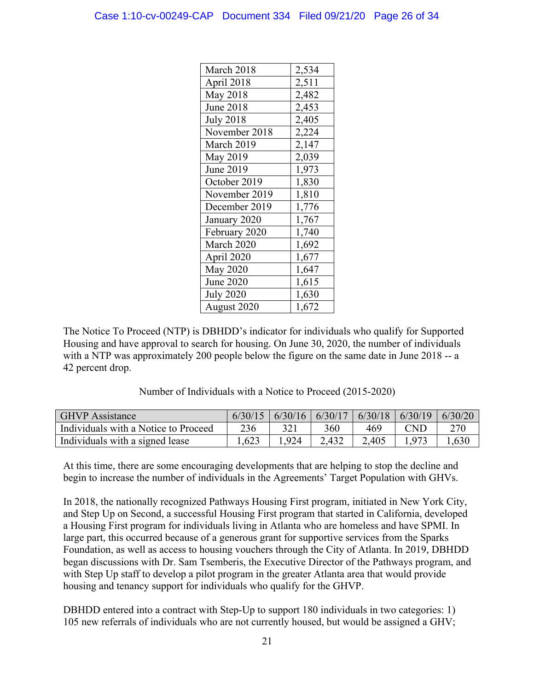| March 2018       | 2,534 |
|------------------|-------|
| April 2018       | 2,511 |
| <b>May 2018</b>  | 2,482 |
| <b>June 2018</b> | 2,453 |
| <b>July 2018</b> | 2,405 |
| November 2018    | 2,224 |
| March 2019       | 2,147 |
| May 2019         | 2,039 |
| June 2019        | 1,973 |
| October 2019     | 1,830 |
| November 2019    | 1,810 |
| December 2019    | 1,776 |
| January 2020     | 1,767 |
| February 2020    | 1,740 |
| March 2020       | 1,692 |
| April 2020       | 1,677 |
| <b>May 2020</b>  | 1,647 |
| <b>June 2020</b> | 1,615 |
| <b>July 2020</b> | 1,630 |
| August 2020      | 1,672 |

The Notice To Proceed (NTP) is DBHDD's indicator for individuals who qualify for Supported Housing and have approval to search for housing. On June 30, 2020, the number of individuals with a NTP was approximately 200 people below the figure on the same date in June 2018 -- a 42 percent drop.

Number of Individuals with a Notice to Proceed (2015-2020)

| <b>GHVP</b> Assistance               |      | $6/30/15$   $6/30/16$   $6/30/17$   $6/30/18$   $6/30/19$   $6/30/20$ |       |       |       |      |
|--------------------------------------|------|-----------------------------------------------------------------------|-------|-------|-------|------|
| Individuals with a Notice to Proceed | 236  |                                                                       | 360   | 469   | CND   | 270  |
| Individuals with a signed lease      | .623 | .924                                                                  | 2,432 | 2,405 | 1.973 | .630 |

At this time, there are some encouraging developments that are helping to stop the decline and begin to increase the number of individuals in the Agreements' Target Population with GHVs.

In 2018, the nationally recognized Pathways Housing First program, initiated in New York City, and Step Up on Second, a successful Housing First program that started in California, developed a Housing First program for individuals living in Atlanta who are homeless and have SPMI. In large part, this occurred because of a generous grant for supportive services from the Sparks Foundation, as well as access to housing vouchers through the City of Atlanta. In 2019, DBHDD began discussions with Dr. Sam Tsemberis, the Executive Director of the Pathways program, and with Step Up staff to develop a pilot program in the greater Atlanta area that would provide housing and tenancy support for individuals who qualify for the GHVP.

DBHDD entered into a contract with Step-Up to support 180 individuals in two categories: 1) 105 new referrals of individuals who are not currently housed, but would be assigned a GHV;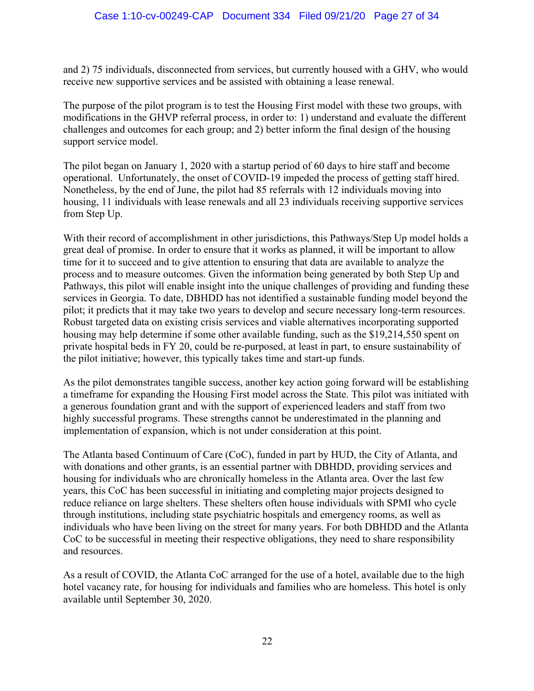and 2) 75 individuals, disconnected from services, but currently housed with a GHV, who would receive new supportive services and be assisted with obtaining a lease renewal.

The purpose of the pilot program is to test the Housing First model with these two groups, with modifications in the GHVP referral process, in order to: 1) understand and evaluate the different challenges and outcomes for each group; and 2) better inform the final design of the housing support service model.

The pilot began on January 1, 2020 with a startup period of 60 days to hire staff and become operational. Unfortunately, the onset of COVID-19 impeded the process of getting staff hired. Nonetheless, by the end of June, the pilot had 85 referrals with 12 individuals moving into housing, 11 individuals with lease renewals and all 23 individuals receiving supportive services from Step Up.

With their record of accomplishment in other jurisdictions, this Pathways/Step Up model holds a great deal of promise. In order to ensure that it works as planned, it will be important to allow time for it to succeed and to give attention to ensuring that data are available to analyze the process and to measure outcomes. Given the information being generated by both Step Up and Pathways, this pilot will enable insight into the unique challenges of providing and funding these services in Georgia. To date, DBHDD has not identified a sustainable funding model beyond the pilot; it predicts that it may take two years to develop and secure necessary long-term resources. Robust targeted data on existing crisis services and viable alternatives incorporating supported housing may help determine if some other available funding, such as the \$19,214,550 spent on private hospital beds in FY 20, could be re-purposed, at least in part, to ensure sustainability of the pilot initiative; however, this typically takes time and start-up funds.

As the pilot demonstrates tangible success, another key action going forward will be establishing a timeframe for expanding the Housing First model across the State. This pilot was initiated with a generous foundation grant and with the support of experienced leaders and staff from two highly successful programs. These strengths cannot be underestimated in the planning and implementation of expansion, which is not under consideration at this point.

The Atlanta based Continuum of Care (CoC), funded in part by HUD, the City of Atlanta, and with donations and other grants, is an essential partner with DBHDD, providing services and housing for individuals who are chronically homeless in the Atlanta area. Over the last few years, this CoC has been successful in initiating and completing major projects designed to reduce reliance on large shelters. These shelters often house individuals with SPMI who cycle through institutions, including state psychiatric hospitals and emergency rooms, as well as individuals who have been living on the street for many years. For both DBHDD and the Atlanta CoC to be successful in meeting their respective obligations, they need to share responsibility and resources.

As a result of COVID, the Atlanta CoC arranged for the use of a hotel, available due to the high hotel vacancy rate, for housing for individuals and families who are homeless. This hotel is only available until September 30, 2020.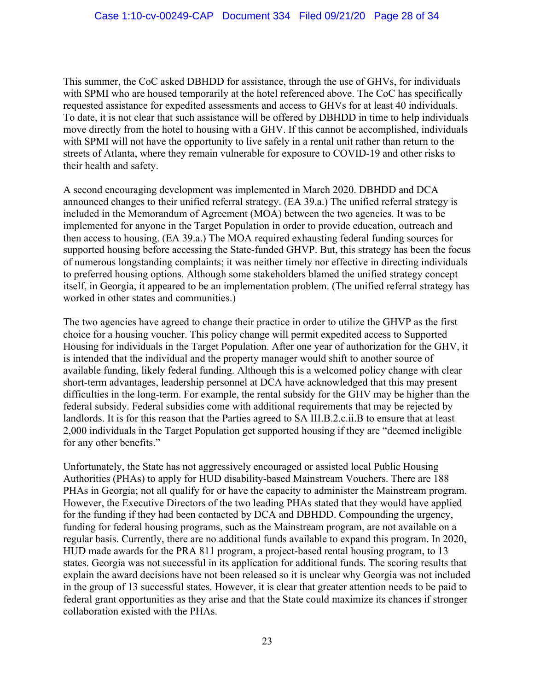This summer, the CoC asked DBHDD for assistance, through the use of GHVs, for individuals with SPMI who are housed temporarily at the hotel referenced above. The CoC has specifically requested assistance for expedited assessments and access to GHVs for at least 40 individuals. To date, it is not clear that such assistance will be offered by DBHDD in time to help individuals move directly from the hotel to housing with a GHV. If this cannot be accomplished, individuals with SPMI will not have the opportunity to live safely in a rental unit rather than return to the streets of Atlanta, where they remain vulnerable for exposure to COVID-19 and other risks to their health and safety.

A second encouraging development was implemented in March 2020. DBHDD and DCA announced changes to their unified referral strategy. (EA 39.a.) The unified referral strategy is included in the Memorandum of Agreement (MOA) between the two agencies. It was to be implemented for anyone in the Target Population in order to provide education, outreach and then access to housing. (EA 39.a.) The MOA required exhausting federal funding sources for supported housing before accessing the State-funded GHVP. But, this strategy has been the focus of numerous longstanding complaints; it was neither timely nor effective in directing individuals to preferred housing options. Although some stakeholders blamed the unified strategy concept itself, in Georgia, it appeared to be an implementation problem. (The unified referral strategy has worked in other states and communities.)

The two agencies have agreed to change their practice in order to utilize the GHVP as the first choice for a housing voucher. This policy change will permit expedited access to Supported Housing for individuals in the Target Population. After one year of authorization for the GHV, it is intended that the individual and the property manager would shift to another source of available funding, likely federal funding. Although this is a welcomed policy change with clear short-term advantages, leadership personnel at DCA have acknowledged that this may present difficulties in the long-term. For example, the rental subsidy for the GHV may be higher than the federal subsidy. Federal subsidies come with additional requirements that may be rejected by landlords. It is for this reason that the Parties agreed to SA III.B.2.c.ii.B to ensure that at least 2,000 individuals in the Target Population get supported housing if they are "deemed ineligible for any other benefits."

Unfortunately, the State has not aggressively encouraged or assisted local Public Housing Authorities (PHAs) to apply for HUD disability-based Mainstream Vouchers. There are 188 PHAs in Georgia; not all qualify for or have the capacity to administer the Mainstream program. However, the Executive Directors of the two leading PHAs stated that they would have applied for the funding if they had been contacted by DCA and DBHDD. Compounding the urgency, funding for federal housing programs, such as the Mainstream program, are not available on a regular basis. Currently, there are no additional funds available to expand this program. In 2020, HUD made awards for the PRA 811 program, a project-based rental housing program, to 13 states. Georgia was not successful in its application for additional funds. The scoring results that explain the award decisions have not been released so it is unclear why Georgia was not included in the group of 13 successful states. However, it is clear that greater attention needs to be paid to federal grant opportunities as they arise and that the State could maximize its chances if stronger collaboration existed with the PHAs.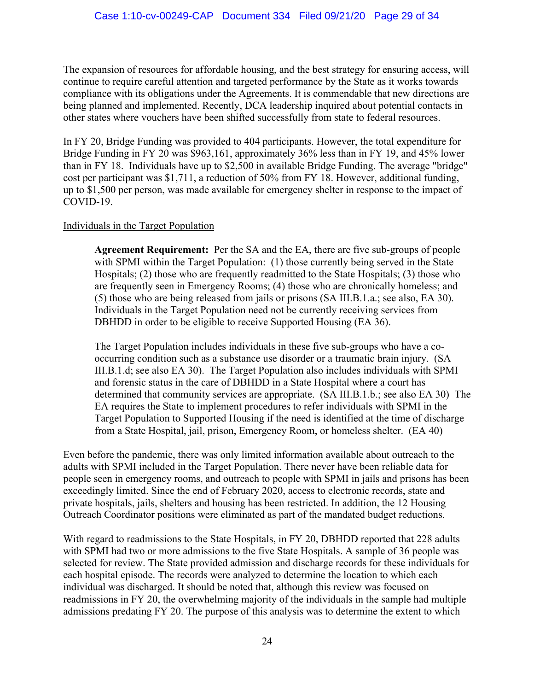The expansion of resources for affordable housing, and the best strategy for ensuring access, will continue to require careful attention and targeted performance by the State as it works towards compliance with its obligations under the Agreements. It is commendable that new directions are being planned and implemented. Recently, DCA leadership inquired about potential contacts in other states where vouchers have been shifted successfully from state to federal resources.

In FY 20, Bridge Funding was provided to 404 participants. However, the total expenditure for Bridge Funding in FY 20 was \$963,161, approximately 36% less than in FY 19, and 45% lower than in FY 18. Individuals have up to \$2,500 in available Bridge Funding. The average "bridge" cost per participant was \$1,711, a reduction of 50% from FY 18. However, additional funding, up to \$1,500 per person, was made available for emergency shelter in response to the impact of COVID-19.

### Individuals in the Target Population

**Agreement Requirement:** Per the SA and the EA, there are five sub-groups of people with SPMI within the Target Population: (1) those currently being served in the State Hospitals; (2) those who are frequently readmitted to the State Hospitals; (3) those who are frequently seen in Emergency Rooms; (4) those who are chronically homeless; and (5) those who are being released from jails or prisons (SA III.B.1.a.; see also, EA 30). Individuals in the Target Population need not be currently receiving services from DBHDD in order to be eligible to receive Supported Housing (EA 36).

The Target Population includes individuals in these five sub-groups who have a cooccurring condition such as a substance use disorder or a traumatic brain injury. (SA III.B.1.d; see also EA 30). The Target Population also includes individuals with SPMI and forensic status in the care of DBHDD in a State Hospital where a court has determined that community services are appropriate. (SA III.B.1.b.; see also EA 30) The EA requires the State to implement procedures to refer individuals with SPMI in the Target Population to Supported Housing if the need is identified at the time of discharge from a State Hospital, jail, prison, Emergency Room, or homeless shelter. (EA 40)

Even before the pandemic, there was only limited information available about outreach to the adults with SPMI included in the Target Population. There never have been reliable data for people seen in emergency rooms, and outreach to people with SPMI in jails and prisons has been exceedingly limited. Since the end of February 2020, access to electronic records, state and private hospitals, jails, shelters and housing has been restricted. In addition, the 12 Housing Outreach Coordinator positions were eliminated as part of the mandated budget reductions.

With regard to readmissions to the State Hospitals, in FY 20, DBHDD reported that 228 adults with SPMI had two or more admissions to the five State Hospitals. A sample of 36 people was selected for review. The State provided admission and discharge records for these individuals for each hospital episode. The records were analyzed to determine the location to which each individual was discharged. It should be noted that, although this review was focused on readmissions in FY 20, the overwhelming majority of the individuals in the sample had multiple admissions predating FY 20. The purpose of this analysis was to determine the extent to which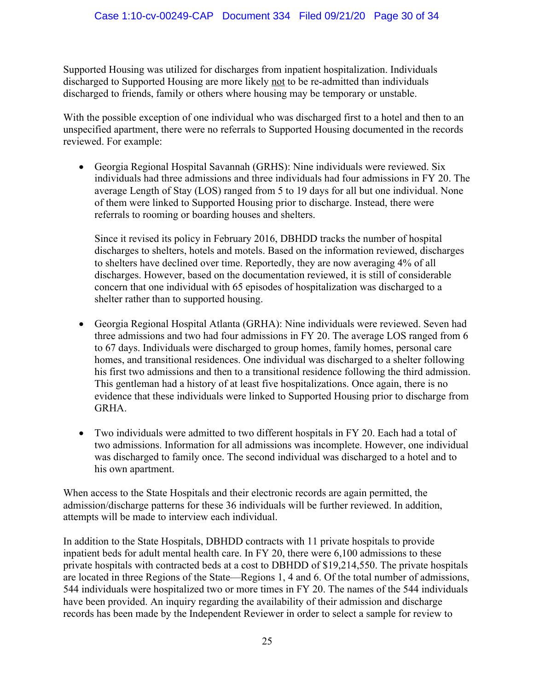Supported Housing was utilized for discharges from inpatient hospitalization. Individuals discharged to Supported Housing are more likely not to be re-admitted than individuals discharged to friends, family or others where housing may be temporary or unstable.

With the possible exception of one individual who was discharged first to a hotel and then to an unspecified apartment, there were no referrals to Supported Housing documented in the records reviewed. For example:

• Georgia Regional Hospital Savannah (GRHS): Nine individuals were reviewed. Six individuals had three admissions and three individuals had four admissions in FY 20. The average Length of Stay (LOS) ranged from 5 to 19 days for all but one individual. None of them were linked to Supported Housing prior to discharge. Instead, there were referrals to rooming or boarding houses and shelters.

Since it revised its policy in February 2016, DBHDD tracks the number of hospital discharges to shelters, hotels and motels. Based on the information reviewed, discharges to shelters have declined over time. Reportedly, they are now averaging 4% of all discharges. However, based on the documentation reviewed, it is still of considerable concern that one individual with 65 episodes of hospitalization was discharged to a shelter rather than to supported housing.

- Georgia Regional Hospital Atlanta (GRHA): Nine individuals were reviewed. Seven had three admissions and two had four admissions in FY 20. The average LOS ranged from 6 to 67 days. Individuals were discharged to group homes, family homes, personal care homes, and transitional residences. One individual was discharged to a shelter following his first two admissions and then to a transitional residence following the third admission. This gentleman had a history of at least five hospitalizations. Once again, there is no evidence that these individuals were linked to Supported Housing prior to discharge from GRHA.
- Two individuals were admitted to two different hospitals in FY 20. Each had a total of two admissions. Information for all admissions was incomplete. However, one individual was discharged to family once. The second individual was discharged to a hotel and to his own apartment.

When access to the State Hospitals and their electronic records are again permitted, the admission/discharge patterns for these 36 individuals will be further reviewed. In addition, attempts will be made to interview each individual.

In addition to the State Hospitals, DBHDD contracts with 11 private hospitals to provide inpatient beds for adult mental health care. In FY 20, there were 6,100 admissions to these private hospitals with contracted beds at a cost to DBHDD of \$19,214,550. The private hospitals are located in three Regions of the State—Regions 1, 4 and 6. Of the total number of admissions, 544 individuals were hospitalized two or more times in FY 20. The names of the 544 individuals have been provided. An inquiry regarding the availability of their admission and discharge records has been made by the Independent Reviewer in order to select a sample for review to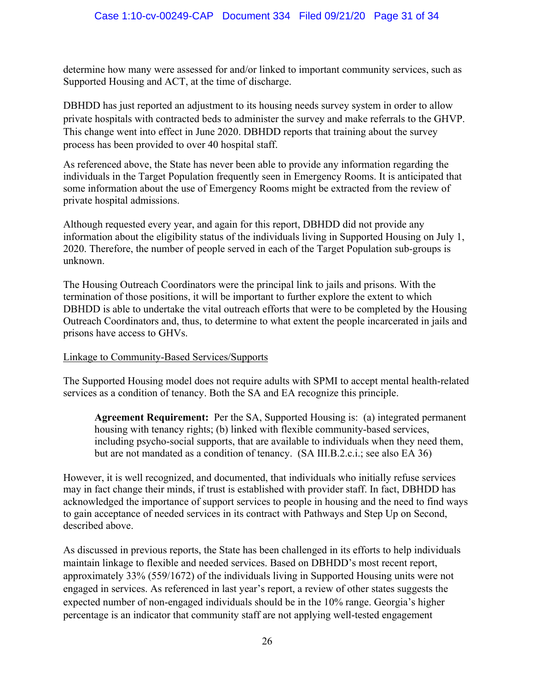determine how many were assessed for and/or linked to important community services, such as Supported Housing and ACT, at the time of discharge.

DBHDD has just reported an adjustment to its housing needs survey system in order to allow private hospitals with contracted beds to administer the survey and make referrals to the GHVP. This change went into effect in June 2020. DBHDD reports that training about the survey process has been provided to over 40 hospital staff.

As referenced above, the State has never been able to provide any information regarding the individuals in the Target Population frequently seen in Emergency Rooms. It is anticipated that some information about the use of Emergency Rooms might be extracted from the review of private hospital admissions.

Although requested every year, and again for this report, DBHDD did not provide any information about the eligibility status of the individuals living in Supported Housing on July 1, 2020. Therefore, the number of people served in each of the Target Population sub-groups is unknown.

The Housing Outreach Coordinators were the principal link to jails and prisons. With the termination of those positions, it will be important to further explore the extent to which DBHDD is able to undertake the vital outreach efforts that were to be completed by the Housing Outreach Coordinators and, thus, to determine to what extent the people incarcerated in jails and prisons have access to GHVs.

## Linkage to Community-Based Services/Supports

The Supported Housing model does not require adults with SPMI to accept mental health-related services as a condition of tenancy. Both the SA and EA recognize this principle.

**Agreement Requirement:** Per the SA, Supported Housing is: (a) integrated permanent housing with tenancy rights; (b) linked with flexible community-based services, including psycho-social supports, that are available to individuals when they need them, but are not mandated as a condition of tenancy. (SA III.B.2.c.i.; see also EA 36)

However, it is well recognized, and documented, that individuals who initially refuse services may in fact change their minds, if trust is established with provider staff. In fact, DBHDD has acknowledged the importance of support services to people in housing and the need to find ways to gain acceptance of needed services in its contract with Pathways and Step Up on Second, described above.

As discussed in previous reports, the State has been challenged in its efforts to help individuals maintain linkage to flexible and needed services. Based on DBHDD's most recent report, approximately 33% (559/1672) of the individuals living in Supported Housing units were not engaged in services. As referenced in last year's report, a review of other states suggests the expected number of non-engaged individuals should be in the 10% range. Georgia's higher percentage is an indicator that community staff are not applying well-tested engagement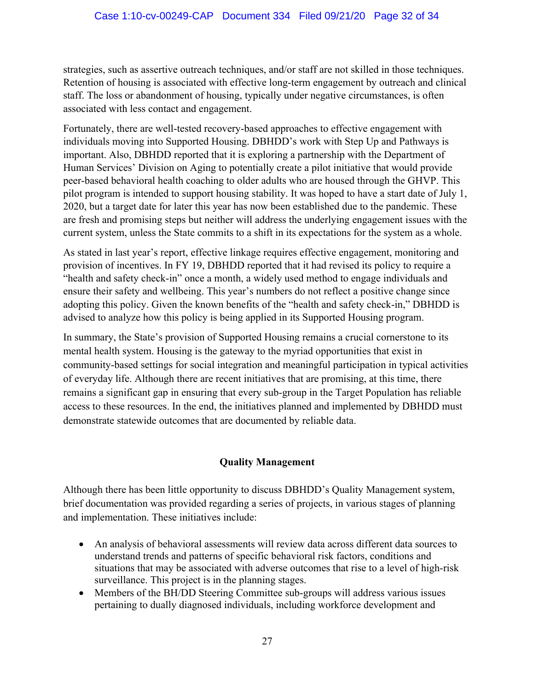strategies, such as assertive outreach techniques, and/or staff are not skilled in those techniques. Retention of housing is associated with effective long-term engagement by outreach and clinical staff. The loss or abandonment of housing, typically under negative circumstances, is often associated with less contact and engagement.

Fortunately, there are well-tested recovery-based approaches to effective engagement with individuals moving into Supported Housing. DBHDD's work with Step Up and Pathways is important. Also, DBHDD reported that it is exploring a partnership with the Department of Human Services' Division on Aging to potentially create a pilot initiative that would provide peer-based behavioral health coaching to older adults who are housed through the GHVP. This pilot program is intended to support housing stability. It was hoped to have a start date of July 1, 2020, but a target date for later this year has now been established due to the pandemic. These are fresh and promising steps but neither will address the underlying engagement issues with the current system, unless the State commits to a shift in its expectations for the system as a whole.

As stated in last year's report, effective linkage requires effective engagement, monitoring and provision of incentives. In FY 19, DBHDD reported that it had revised its policy to require a "health and safety check-in" once a month, a widely used method to engage individuals and ensure their safety and wellbeing. This year's numbers do not reflect a positive change since adopting this policy. Given the known benefits of the "health and safety check-in," DBHDD is advised to analyze how this policy is being applied in its Supported Housing program.

In summary, the State's provision of Supported Housing remains a crucial cornerstone to its mental health system. Housing is the gateway to the myriad opportunities that exist in community-based settings for social integration and meaningful participation in typical activities of everyday life. Although there are recent initiatives that are promising, at this time, there remains a significant gap in ensuring that every sub-group in the Target Population has reliable access to these resources. In the end, the initiatives planned and implemented by DBHDD must demonstrate statewide outcomes that are documented by reliable data.

## **Quality Management**

Although there has been little opportunity to discuss DBHDD's Quality Management system, brief documentation was provided regarding a series of projects, in various stages of planning and implementation. These initiatives include:

- An analysis of behavioral assessments will review data across different data sources to understand trends and patterns of specific behavioral risk factors, conditions and situations that may be associated with adverse outcomes that rise to a level of high-risk surveillance. This project is in the planning stages.
- Members of the BH/DD Steering Committee sub-groups will address various issues pertaining to dually diagnosed individuals, including workforce development and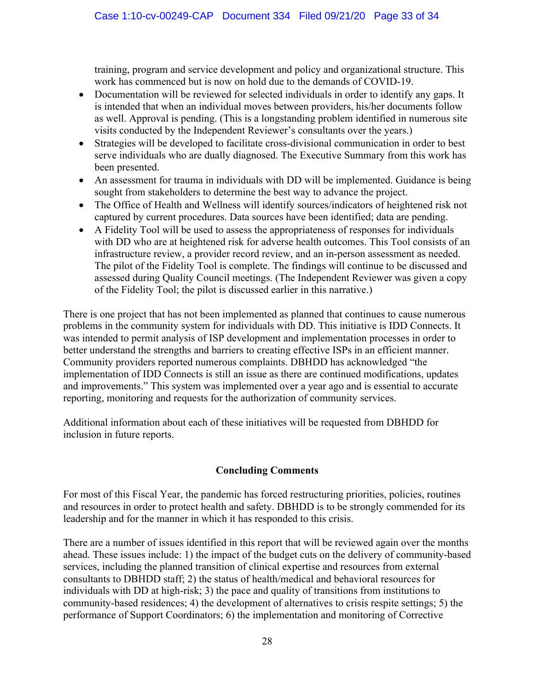training, program and service development and policy and organizational structure. This work has commenced but is now on hold due to the demands of COVID-19.

- Documentation will be reviewed for selected individuals in order to identify any gaps. It is intended that when an individual moves between providers, his/her documents follow as well. Approval is pending. (This is a longstanding problem identified in numerous site visits conducted by the Independent Reviewer's consultants over the years.)
- Strategies will be developed to facilitate cross-divisional communication in order to best serve individuals who are dually diagnosed. The Executive Summary from this work has been presented.
- An assessment for trauma in individuals with DD will be implemented. Guidance is being sought from stakeholders to determine the best way to advance the project.
- The Office of Health and Wellness will identify sources/indicators of heightened risk not captured by current procedures. Data sources have been identified; data are pending.
- A Fidelity Tool will be used to assess the appropriateness of responses for individuals with DD who are at heightened risk for adverse health outcomes. This Tool consists of an infrastructure review, a provider record review, and an in-person assessment as needed. The pilot of the Fidelity Tool is complete. The findings will continue to be discussed and assessed during Quality Council meetings. (The Independent Reviewer was given a copy of the Fidelity Tool; the pilot is discussed earlier in this narrative.)

There is one project that has not been implemented as planned that continues to cause numerous problems in the community system for individuals with DD. This initiative is IDD Connects. It was intended to permit analysis of ISP development and implementation processes in order to better understand the strengths and barriers to creating effective ISPs in an efficient manner. Community providers reported numerous complaints. DBHDD has acknowledged "the implementation of IDD Connects is still an issue as there are continued modifications, updates and improvements." This system was implemented over a year ago and is essential to accurate reporting, monitoring and requests for the authorization of community services.

Additional information about each of these initiatives will be requested from DBHDD for inclusion in future reports.

## **Concluding Comments**

For most of this Fiscal Year, the pandemic has forced restructuring priorities, policies, routines and resources in order to protect health and safety. DBHDD is to be strongly commended for its leadership and for the manner in which it has responded to this crisis.

There are a number of issues identified in this report that will be reviewed again over the months ahead. These issues include: 1) the impact of the budget cuts on the delivery of community-based services, including the planned transition of clinical expertise and resources from external consultants to DBHDD staff; 2) the status of health/medical and behavioral resources for individuals with DD at high-risk; 3) the pace and quality of transitions from institutions to community-based residences; 4) the development of alternatives to crisis respite settings; 5) the performance of Support Coordinators; 6) the implementation and monitoring of Corrective